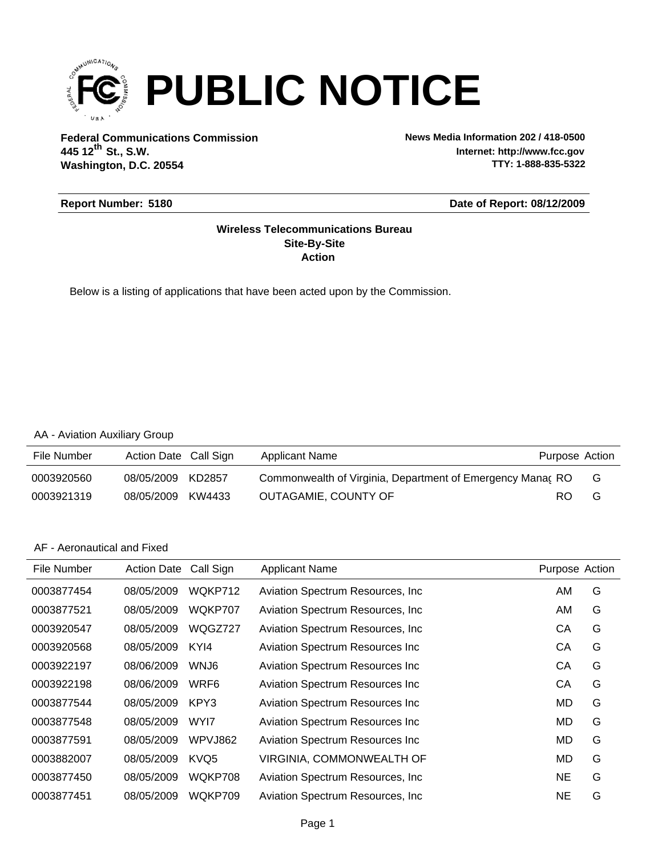

**Federal Communications Commission News Media Information 202 / 418-0500 Washington, D.C. 20554 th 445 12 St., S.W.**

**Internet: http://www.fcc.gov TTY: 1-888-835-5322**

#### **Report Number: 5180**

#### **Date of Report: 08/12/2009**

#### **Action Site-By-Site Wireless Telecommunications Bureau**

Below is a listing of applications that have been acted upon by the Commission.

#### AA - Aviation Auxiliary Group

| File Number | Action Date Call Sign |        | Applicant Name                                             | Purpose Action |   |
|-------------|-----------------------|--------|------------------------------------------------------------|----------------|---|
| 0003920560  | 08/05/2009            | KD2857 | Commonwealth of Virginia, Department of Emergency Manac RO |                | G |
| 0003921319  | 08/05/2009            | KW4433 | OUTAGAMIE, COUNTY OF                                       | RO.            | G |

#### AF - Aeronautical and Fixed

| File Number | <b>Action Date</b> | Call Sign | <b>Applicant Name</b>                   | Purpose Action |   |
|-------------|--------------------|-----------|-----------------------------------------|----------------|---|
| 0003877454  | 08/05/2009         | WQKP712   | Aviation Spectrum Resources, Inc.       | AM             | G |
| 0003877521  | 08/05/2009         | WQKP707   | Aviation Spectrum Resources, Inc.       | AM             | G |
| 0003920547  | 08/05/2009         | WQGZ727   | Aviation Spectrum Resources, Inc.       | СA             | G |
| 0003920568  | 08/05/2009         | KYI4      | Aviation Spectrum Resources Inc         | СA             | G |
| 0003922197  | 08/06/2009         | WNJ6      | Aviation Spectrum Resources Inc         | CA             | G |
| 0003922198  | 08/06/2009         | WRF6      | Aviation Spectrum Resources Inc         | СA             | G |
| 0003877544  | 08/05/2009         | KPY3      | Aviation Spectrum Resources Inc         | MD             | G |
| 0003877548  | 08/05/2009         | WYI7      | <b>Aviation Spectrum Resources Inc.</b> | MD             | G |
| 0003877591  | 08/05/2009         | WPVJ862   | <b>Aviation Spectrum Resources Inc.</b> | MD             | G |
| 0003882007  | 08/05/2009         | KVQ5      | <b>VIRGINIA, COMMONWEALTH OF</b>        | MD             | G |
| 0003877450  | 08/05/2009         | WQKP708   | Aviation Spectrum Resources, Inc.       | <b>NE</b>      | G |
| 0003877451  | 08/05/2009         | WQKP709   | Aviation Spectrum Resources, Inc.       | NE             | G |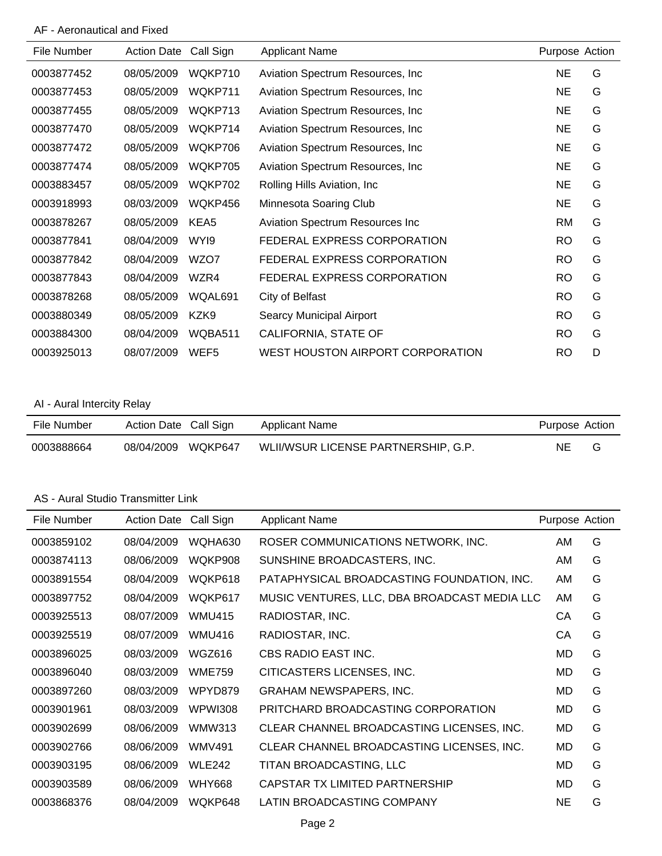# AF - Aeronautical and Fixed

| File Number | <b>Action Date</b> | Call Sign        | <b>Applicant Name</b>             | Purpose Action |   |
|-------------|--------------------|------------------|-----------------------------------|----------------|---|
| 0003877452  | 08/05/2009         | WQKP710          | Aviation Spectrum Resources, Inc. | <b>NE</b>      | G |
| 0003877453  | 08/05/2009         | WQKP711          | Aviation Spectrum Resources, Inc. | <b>NE</b>      | G |
| 0003877455  | 08/05/2009         | WQKP713          | Aviation Spectrum Resources, Inc. | NE             | G |
| 0003877470  | 08/05/2009         | WQKP714          | Aviation Spectrum Resources, Inc. | <b>NE</b>      | G |
| 0003877472  | 08/05/2009         | WQKP706          | Aviation Spectrum Resources, Inc. | <b>NE</b>      | G |
| 0003877474  | 08/05/2009         | WQKP705          | Aviation Spectrum Resources, Inc. | NE             | G |
| 0003883457  | 08/05/2009         | WQKP702          | Rolling Hills Aviation, Inc.      | <b>NE</b>      | G |
| 0003918993  | 08/03/2009         | WQKP456          | Minnesota Soaring Club            | <b>NE</b>      | G |
| 0003878267  | 08/05/2009         | KEA5             | Aviation Spectrum Resources Inc   | <b>RM</b>      | G |
| 0003877841  | 08/04/2009         | WYI9             | FEDERAL EXPRESS CORPORATION       | <b>RO</b>      | G |
| 0003877842  | 08/04/2009         | WZO7             | FEDERAL EXPRESS CORPORATION       | <b>RO</b>      | G |
| 0003877843  | 08/04/2009         | WZR4             | FEDERAL EXPRESS CORPORATION       | <b>RO</b>      | G |
| 0003878268  | 08/05/2009         | WQAL691          | City of Belfast                   | <b>RO</b>      | G |
| 0003880349  | 08/05/2009         | KZK9             | Searcy Municipal Airport          | <b>RO</b>      | G |
| 0003884300  | 08/04/2009         | WQBA511          | CALIFORNIA, STATE OF              | <b>RO</b>      | G |
| 0003925013  | 08/07/2009         | WEF <sub>5</sub> | WEST HOUSTON AIRPORT CORPORATION  | <b>RO</b>      | D |

## AI - Aural Intercity Relay

| File Number | Action Date Call Sign | Applicant Name                                 | Purpose Action |  |
|-------------|-----------------------|------------------------------------------------|----------------|--|
| 0003888664  | 08/04/2009            | WLII/WSUR LICENSE PARTNERSHIP, G.P.<br>WOKP647 | NE.            |  |

#### AS - Aural Studio Transmitter Link

| File Number | <b>Action Date</b> | Call Sign     | Applicant Name                               | Purpose Action |   |
|-------------|--------------------|---------------|----------------------------------------------|----------------|---|
| 0003859102  | 08/04/2009         | WQHA630       | ROSER COMMUNICATIONS NETWORK, INC.           | AM.            | G |
| 0003874113  | 08/06/2009         | WQKP908       | SUNSHINE BROADCASTERS, INC.                  | AM.            | G |
| 0003891554  | 08/04/2009         | WQKP618       | PATAPHYSICAL BROADCASTING FOUNDATION, INC.   | AM             | G |
| 0003897752  | 08/04/2009         | WQKP617       | MUSIC VENTURES, LLC, DBA BROADCAST MEDIA LLC | AM             | G |
| 0003925513  | 08/07/2009         | <b>WMU415</b> | RADIOSTAR, INC.                              | СA             | G |
| 0003925519  | 08/07/2009         | <b>WMU416</b> | RADIOSTAR, INC.                              | СA             | G |
| 0003896025  | 08/03/2009         | WGZ616        | CBS RADIO EAST INC.                          | MD             | G |
| 0003896040  | 08/03/2009         | <b>WME759</b> | CITICASTERS LICENSES, INC.                   | MD             | G |
| 0003897260  | 08/03/2009         | WPYD879       | <b>GRAHAM NEWSPAPERS, INC.</b>               | MD             | G |
| 0003901961  | 08/03/2009         | WPWI308       | PRITCHARD BROADCASTING CORPORATION           | MD             | G |
| 0003902699  | 08/06/2009         | WMW313        | CLEAR CHANNEL BROADCASTING LICENSES, INC.    | MD             | G |
| 0003902766  | 08/06/2009         | <b>WMV491</b> | CLEAR CHANNEL BROADCASTING LICENSES, INC.    | MD             | G |
| 0003903195  | 08/06/2009         | <b>WLE242</b> | TITAN BROADCASTING, LLC                      | MD             | G |
| 0003903589  | 08/06/2009         | <b>WHY668</b> | CAPSTAR TX LIMITED PARTNERSHIP               | MD             | G |
| 0003868376  | 08/04/2009         | WQKP648       | LATIN BROADCASTING COMPANY                   | <b>NE</b>      | G |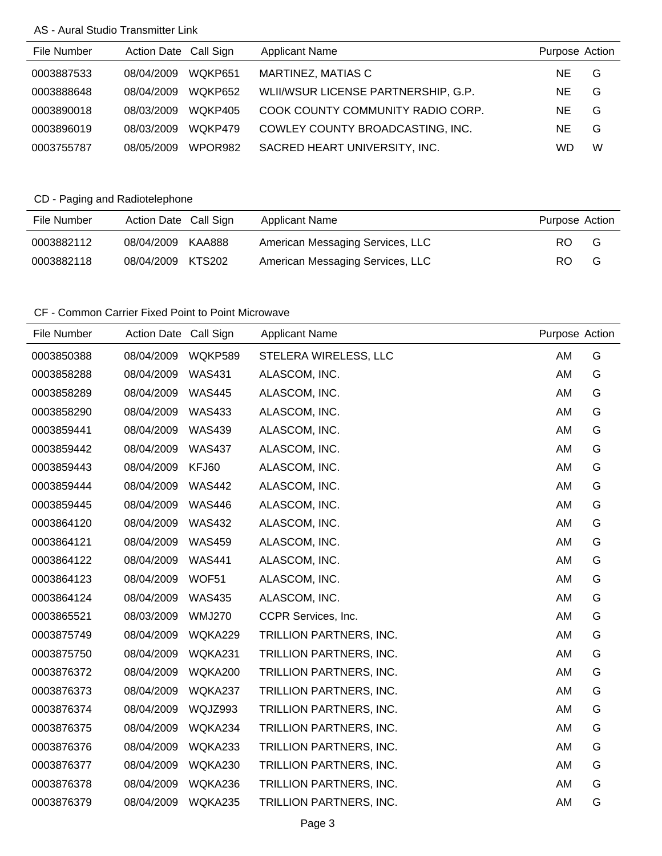### AS - Aural Studio Transmitter Link

| File Number | Action Date Call Sign |         | <b>Applicant Name</b>               | Purpose Action |   |
|-------------|-----------------------|---------|-------------------------------------|----------------|---|
| 0003887533  | 08/04/2009            | WQKP651 | MARTINEZ, MATIAS C                  | NE.            | G |
| 0003888648  | 08/04/2009            | WOKP652 | WLII/WSUR LICENSE PARTNERSHIP, G.P. | NE.            | G |
| 0003890018  | 08/03/2009            | WOKP405 | COOK COUNTY COMMUNITY RADIO CORP.   | NE.            | G |
| 0003896019  | 08/03/2009            | WOKP479 | COWLEY COUNTY BROADCASTING, INC.    | <b>NE</b>      | G |
| 0003755787  | 08/05/2009            | WPOR982 | SACRED HEART UNIVERSITY, INC.       | WD             | W |

# CD - Paging and Radiotelephone

| File Number | Action Date Call Sign |        | Applicant Name                   | Purpose Action |   |
|-------------|-----------------------|--------|----------------------------------|----------------|---|
| 0003882112  | 08/04/2009            | KAA888 | American Messaging Services, LLC | RO.            | G |
| 0003882118  | 08/04/2009            | KTS202 | American Messaging Services, LLC | RO.            | G |

# CF - Common Carrier Fixed Point to Point Microwave

|            |               | <b>Applicant Name</b>   |    |                |
|------------|---------------|-------------------------|----|----------------|
| 08/04/2009 | WQKP589       | STELERA WIRELESS, LLC   | AM | G              |
| 08/04/2009 | <b>WAS431</b> | ALASCOM, INC.           | AM | G              |
| 08/04/2009 | <b>WAS445</b> | ALASCOM, INC.           | AM | G              |
| 08/04/2009 | <b>WAS433</b> | ALASCOM, INC.           | AM | G              |
| 08/04/2009 | <b>WAS439</b> | ALASCOM, INC.           | AM | G              |
| 08/04/2009 | <b>WAS437</b> | ALASCOM, INC.           | AM | G              |
| 08/04/2009 | KFJ60         | ALASCOM, INC.           | AM | G              |
| 08/04/2009 | <b>WAS442</b> | ALASCOM, INC.           | AM | G              |
| 08/04/2009 | <b>WAS446</b> | ALASCOM, INC.           | AM | G              |
| 08/04/2009 | <b>WAS432</b> | ALASCOM, INC.           | AM | G              |
| 08/04/2009 | <b>WAS459</b> | ALASCOM, INC.           | AM | G              |
| 08/04/2009 | <b>WAS441</b> | ALASCOM, INC.           | AM | G              |
| 08/04/2009 | WOF51         | ALASCOM, INC.           | AM | G              |
| 08/04/2009 | <b>WAS435</b> | ALASCOM, INC.           | AM | G              |
| 08/03/2009 | <b>WMJ270</b> | CCPR Services, Inc.     | AM | G              |
| 08/04/2009 | WQKA229       | TRILLION PARTNERS, INC. | AM | G              |
| 08/04/2009 | WQKA231       | TRILLION PARTNERS, INC. | AM | G              |
| 08/04/2009 | WQKA200       | TRILLION PARTNERS, INC. | AM | G              |
| 08/04/2009 | WQKA237       | TRILLION PARTNERS, INC. | AM | G              |
| 08/04/2009 | WQJZ993       | TRILLION PARTNERS, INC. | AM | G              |
| 08/04/2009 | WQKA234       | TRILLION PARTNERS, INC. | AM | G              |
| 08/04/2009 | WQKA233       | TRILLION PARTNERS, INC. | AM | G              |
| 08/04/2009 | WQKA230       | TRILLION PARTNERS, INC. | AM | G              |
| 08/04/2009 | WQKA236       | TRILLION PARTNERS, INC. | AM | G              |
| 08/04/2009 | WQKA235       | TRILLION PARTNERS, INC. | AM | G              |
|            |               | Action Date Call Sign   |    | Purpose Action |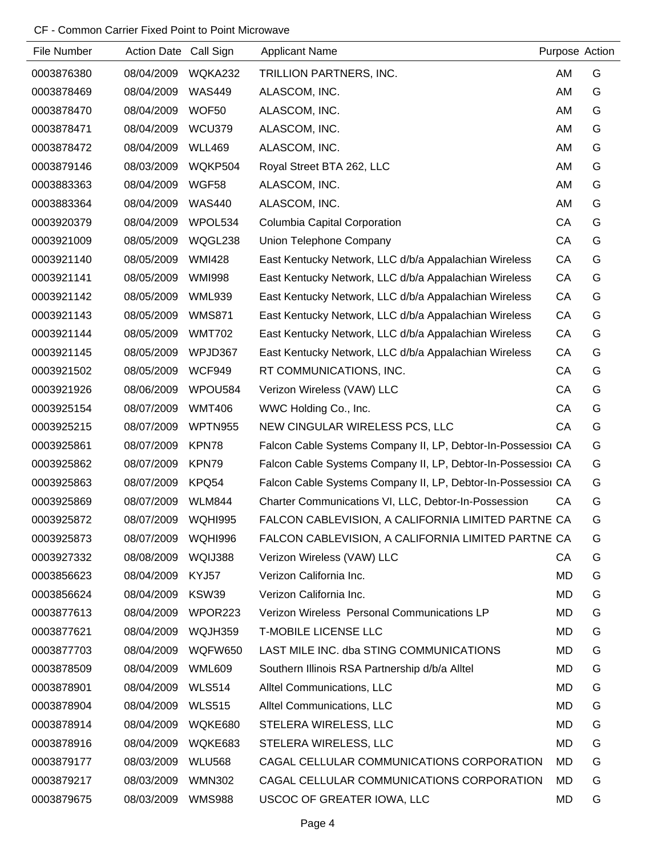### CF - Common Carrier Fixed Point to Point Microwave

| File Number | Action Date Call Sign |                | <b>Applicant Name</b>                                        | Purpose Action |   |
|-------------|-----------------------|----------------|--------------------------------------------------------------|----------------|---|
| 0003876380  | 08/04/2009            | WQKA232        | TRILLION PARTNERS, INC.                                      | AM             | G |
| 0003878469  | 08/04/2009            | <b>WAS449</b>  | ALASCOM, INC.                                                | AM             | G |
| 0003878470  | 08/04/2009            | WOF50          | ALASCOM, INC.                                                | AM             | G |
| 0003878471  | 08/04/2009            | <b>WCU379</b>  | ALASCOM, INC.                                                | AM             | G |
| 0003878472  | 08/04/2009            | <b>WLL469</b>  | ALASCOM, INC.                                                | AM             | G |
| 0003879146  | 08/03/2009            | WQKP504        | Royal Street BTA 262, LLC                                    | AM             | G |
| 0003883363  | 08/04/2009            | WGF58          | ALASCOM, INC.                                                | AM             | G |
| 0003883364  | 08/04/2009            | <b>WAS440</b>  | ALASCOM, INC.                                                | AM             | G |
| 0003920379  | 08/04/2009            | WPOL534        | Columbia Capital Corporation                                 | CA             | G |
| 0003921009  | 08/05/2009            | WQGL238        | Union Telephone Company                                      | CA             | G |
| 0003921140  | 08/05/2009            | <b>WMI428</b>  | East Kentucky Network, LLC d/b/a Appalachian Wireless        | CA             | G |
| 0003921141  | 08/05/2009            | <b>WMI998</b>  | East Kentucky Network, LLC d/b/a Appalachian Wireless        | CA             | G |
| 0003921142  | 08/05/2009            | WML939         | East Kentucky Network, LLC d/b/a Appalachian Wireless        | CA             | G |
| 0003921143  | 08/05/2009            | <b>WMS871</b>  | East Kentucky Network, LLC d/b/a Appalachian Wireless        | CA             | G |
| 0003921144  | 08/05/2009            | <b>WMT702</b>  | East Kentucky Network, LLC d/b/a Appalachian Wireless        | CA             | G |
| 0003921145  | 08/05/2009            | WPJD367        | East Kentucky Network, LLC d/b/a Appalachian Wireless        | CA             | G |
| 0003921502  | 08/05/2009            | <b>WCF949</b>  | RT COMMUNICATIONS, INC.                                      | CA             | G |
| 0003921926  | 08/06/2009            | WPOU584        | Verizon Wireless (VAW) LLC                                   | CA             | G |
| 0003925154  | 08/07/2009            | <b>WMT406</b>  | WWC Holding Co., Inc.                                        | CA             | G |
| 0003925215  | 08/07/2009            | <b>WPTN955</b> | NEW CINGULAR WIRELESS PCS, LLC                               | CA             | G |
| 0003925861  | 08/07/2009            | KPN78          | Falcon Cable Systems Company II, LP, Debtor-In-Possessior CA |                | G |
| 0003925862  | 08/07/2009            | KPN79          | Falcon Cable Systems Company II, LP, Debtor-In-Possessior CA |                | G |
| 0003925863  | 08/07/2009            | KPQ54          | Falcon Cable Systems Company II, LP, Debtor-In-Possessior CA |                | G |
| 0003925869  | 08/07/2009            | <b>WLM844</b>  | Charter Communications VI, LLC, Debtor-In-Possession         | CА             | G |
| 0003925872  | 08/07/2009            | WQHI995        | FALCON CABLEVISION, A CALIFORNIA LIMITED PARTNE CA           |                | G |
| 0003925873  | 08/07/2009            | WQHI996        | FALCON CABLEVISION, A CALIFORNIA LIMITED PARTNE CA           |                | G |
| 0003927332  | 08/08/2009            | WQIJ388        | Verizon Wireless (VAW) LLC                                   | СA             | G |
| 0003856623  | 08/04/2009            | KYJ57          | Verizon California Inc.                                      | MD             | G |
| 0003856624  | 08/04/2009            | KSW39          | Verizon California Inc.                                      | MD             | G |
| 0003877613  | 08/04/2009            | WPOR223        | Verizon Wireless Personal Communications LP                  | MD             | G |
| 0003877621  | 08/04/2009            | WQJH359        | <b>T-MOBILE LICENSE LLC</b>                                  | MD             | G |
| 0003877703  | 08/04/2009            | WQFW650        | LAST MILE INC. dba STING COMMUNICATIONS                      | MD             | G |
| 0003878509  | 08/04/2009            | <b>WML609</b>  | Southern Illinois RSA Partnership d/b/a Alltel               | MD             | G |
| 0003878901  | 08/04/2009            | <b>WLS514</b>  | Alltel Communications, LLC                                   | MD             | G |
| 0003878904  | 08/04/2009            | <b>WLS515</b>  | Alltel Communications, LLC                                   | MD             | G |
| 0003878914  | 08/04/2009            | WQKE680        | STELERA WIRELESS, LLC                                        | MD             | G |
| 0003878916  | 08/04/2009            | WQKE683        | STELERA WIRELESS, LLC                                        | MD             | G |
| 0003879177  | 08/03/2009            | <b>WLU568</b>  | CAGAL CELLULAR COMMUNICATIONS CORPORATION                    | MD             | G |
| 0003879217  | 08/03/2009            | <b>WMN302</b>  | CAGAL CELLULAR COMMUNICATIONS CORPORATION                    | MD             | G |
| 0003879675  | 08/03/2009            | <b>WMS988</b>  | USCOC OF GREATER IOWA, LLC                                   | MD             | G |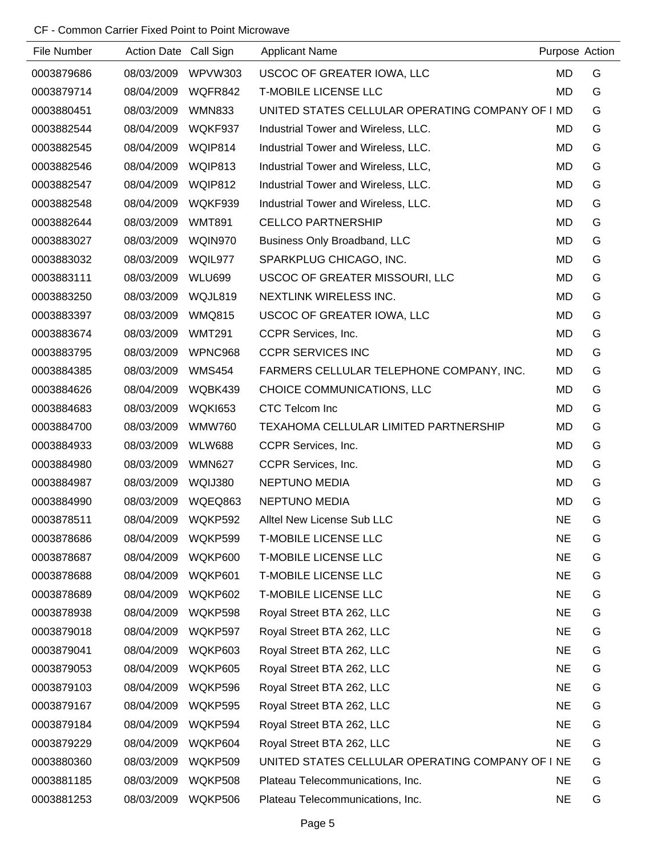### CF - Common Carrier Fixed Point to Point Microwave

| File Number | Action Date Call Sign |                | <b>Applicant Name</b>                            | Purpose Action |   |
|-------------|-----------------------|----------------|--------------------------------------------------|----------------|---|
| 0003879686  | 08/03/2009            | WPVW303        | USCOC OF GREATER IOWA, LLC                       | <b>MD</b>      | G |
| 0003879714  | 08/04/2009            | WQFR842        | <b>T-MOBILE LICENSE LLC</b>                      | <b>MD</b>      | G |
| 0003880451  | 08/03/2009            | <b>WMN833</b>  | UNITED STATES CELLULAR OPERATING COMPANY OF I MD |                | G |
| 0003882544  | 08/04/2009            | WQKF937        | Industrial Tower and Wireless, LLC.              | <b>MD</b>      | G |
| 0003882545  | 08/04/2009            | WQIP814        | Industrial Tower and Wireless, LLC.              | <b>MD</b>      | G |
| 0003882546  | 08/04/2009            | WQIP813        | Industrial Tower and Wireless, LLC,              | <b>MD</b>      | G |
| 0003882547  | 08/04/2009            | WQIP812        | Industrial Tower and Wireless, LLC.              | <b>MD</b>      | G |
| 0003882548  | 08/04/2009            | WQKF939        | Industrial Tower and Wireless, LLC.              | <b>MD</b>      | G |
| 0003882644  | 08/03/2009            | <b>WMT891</b>  | <b>CELLCO PARTNERSHIP</b>                        | <b>MD</b>      | G |
| 0003883027  | 08/03/2009            | WQIN970        | Business Only Broadband, LLC                     | MD             | G |
| 0003883032  | 08/03/2009            | WQIL977        | SPARKPLUG CHICAGO, INC.                          | MD             | G |
| 0003883111  | 08/03/2009            | <b>WLU699</b>  | USCOC OF GREATER MISSOURI, LLC                   | <b>MD</b>      | G |
| 0003883250  | 08/03/2009            | WQJL819        | NEXTLINK WIRELESS INC.                           | MD             | G |
| 0003883397  | 08/03/2009            | <b>WMQ815</b>  | USCOC OF GREATER IOWA, LLC                       | <b>MD</b>      | G |
| 0003883674  | 08/03/2009            | <b>WMT291</b>  | CCPR Services, Inc.                              | MD             | G |
| 0003883795  | 08/03/2009            | WPNC968        | <b>CCPR SERVICES INC</b>                         | <b>MD</b>      | G |
| 0003884385  | 08/03/2009            | <b>WMS454</b>  | FARMERS CELLULAR TELEPHONE COMPANY, INC.         | MD             | G |
| 0003884626  | 08/04/2009            | WQBK439        | CHOICE COMMUNICATIONS, LLC                       | <b>MD</b>      | G |
| 0003884683  | 08/03/2009            | <b>WQKI653</b> | CTC Telcom Inc                                   | MD             | G |
| 0003884700  | 08/03/2009            | <b>WMW760</b>  | TEXAHOMA CELLULAR LIMITED PARTNERSHIP            | <b>MD</b>      | G |
| 0003884933  | 08/03/2009            | <b>WLW688</b>  | CCPR Services, Inc.                              | MD             | G |
| 0003884980  | 08/03/2009            | <b>WMN627</b>  | CCPR Services, Inc.                              | <b>MD</b>      | G |
| 0003884987  | 08/03/2009            | WQIJ380        | <b>NEPTUNO MEDIA</b>                             | <b>MD</b>      | G |
| 0003884990  | 08/03/2009            | WQEQ863        | <b>NEPTUNO MEDIA</b>                             | <b>MD</b>      | G |
| 0003878511  | 08/04/2009            | WQKP592        | Alltel New License Sub LLC                       | <b>NE</b>      | G |
| 0003878686  | 08/04/2009            | WQKP599        | <b>T-MOBILE LICENSE LLC</b>                      | <b>NE</b>      | G |
| 0003878687  | 08/04/2009            | WQKP600        | <b>T-MOBILE LICENSE LLC</b>                      | <b>NE</b>      | G |
| 0003878688  | 08/04/2009            | WQKP601        | <b>T-MOBILE LICENSE LLC</b>                      | <b>NE</b>      | G |
| 0003878689  | 08/04/2009            | WQKP602        | <b>T-MOBILE LICENSE LLC</b>                      | <b>NE</b>      | G |
| 0003878938  | 08/04/2009            | WQKP598        | Royal Street BTA 262, LLC                        | <b>NE</b>      | G |
| 0003879018  | 08/04/2009            | WQKP597        | Royal Street BTA 262, LLC                        | <b>NE</b>      | G |
| 0003879041  | 08/04/2009            | WQKP603        | Royal Street BTA 262, LLC                        | <b>NE</b>      | G |
| 0003879053  | 08/04/2009            | WQKP605        | Royal Street BTA 262, LLC                        | <b>NE</b>      | G |
| 0003879103  | 08/04/2009            | WQKP596        | Royal Street BTA 262, LLC                        | <b>NE</b>      | G |
| 0003879167  | 08/04/2009            | WQKP595        | Royal Street BTA 262, LLC                        | <b>NE</b>      | G |
| 0003879184  | 08/04/2009            | WQKP594        | Royal Street BTA 262, LLC                        | <b>NE</b>      | G |
| 0003879229  | 08/04/2009            | WQKP604        | Royal Street BTA 262, LLC                        | <b>NE</b>      | G |
| 0003880360  | 08/03/2009            | WQKP509        | UNITED STATES CELLULAR OPERATING COMPANY OF I NE |                | G |
| 0003881185  | 08/03/2009            | WQKP508        | Plateau Telecommunications, Inc.                 | <b>NE</b>      | G |
| 0003881253  | 08/03/2009            | WQKP506        | Plateau Telecommunications, Inc.                 | <b>NE</b>      | G |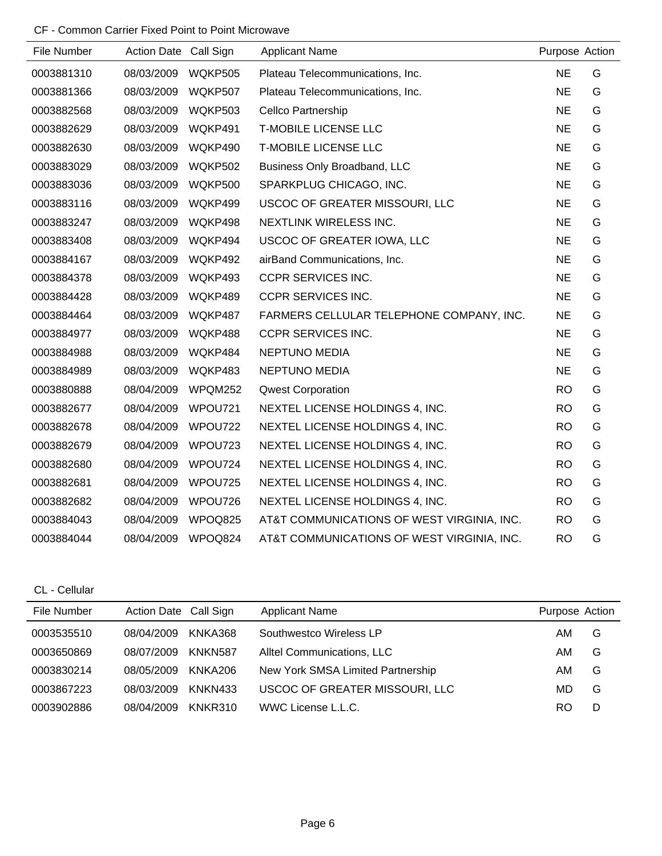# CF - Common Carrier Fixed Point to Point Microwave

| File Number | Action Date Call Sign |                | <b>Applicant Name</b>                      | Purpose Action |   |
|-------------|-----------------------|----------------|--------------------------------------------|----------------|---|
| 0003881310  | 08/03/2009            | WQKP505        | Plateau Telecommunications, Inc.           | <b>NE</b>      | G |
| 0003881366  | 08/03/2009            | WQKP507        | Plateau Telecommunications, Inc.           | <b>NE</b>      | G |
| 0003882568  | 08/03/2009            | WQKP503        | <b>Cellco Partnership</b>                  | <b>NE</b>      | G |
| 0003882629  | 08/03/2009            | WQKP491        | <b>T-MOBILE LICENSE LLC</b>                | <b>NE</b>      | G |
| 0003882630  | 08/03/2009            | WQKP490        | <b>T-MOBILE LICENSE LLC</b>                | <b>NE</b>      | G |
| 0003883029  | 08/03/2009            | WQKP502        | <b>Business Only Broadband, LLC</b>        | <b>NE</b>      | G |
| 0003883036  | 08/03/2009            | <b>WQKP500</b> | SPARKPLUG CHICAGO, INC.                    | <b>NE</b>      | G |
| 0003883116  | 08/03/2009            | WQKP499        | USCOC OF GREATER MISSOURI, LLC             | <b>NE</b>      | G |
| 0003883247  | 08/03/2009            | WQKP498        | NEXTLINK WIRELESS INC.                     | <b>NE</b>      | G |
| 0003883408  | 08/03/2009            | WQKP494        | USCOC OF GREATER IOWA, LLC                 | <b>NE</b>      | G |
| 0003884167  | 08/03/2009            | WQKP492        | airBand Communications, Inc.               | <b>NE</b>      | G |
| 0003884378  | 08/03/2009            | WQKP493        | <b>CCPR SERVICES INC.</b>                  | <b>NE</b>      | G |
| 0003884428  | 08/03/2009            | WQKP489        | <b>CCPR SERVICES INC.</b>                  | <b>NE</b>      | G |
| 0003884464  | 08/03/2009            | WQKP487        | FARMERS CELLULAR TELEPHONE COMPANY, INC.   | <b>NE</b>      | G |
| 0003884977  | 08/03/2009            | WQKP488        | <b>CCPR SERVICES INC.</b>                  | <b>NE</b>      | G |
| 0003884988  | 08/03/2009            | WQKP484        | <b>NEPTUNO MEDIA</b>                       | <b>NE</b>      | G |
| 0003884989  | 08/03/2009            | WQKP483        | <b>NEPTUNO MEDIA</b>                       | <b>NE</b>      | G |
| 0003880888  | 08/04/2009            | WPQM252        | <b>Qwest Corporation</b>                   | <b>RO</b>      | G |
| 0003882677  | 08/04/2009            | WPOU721        | NEXTEL LICENSE HOLDINGS 4, INC.            | <b>RO</b>      | G |
| 0003882678  | 08/04/2009            | WPOU722        | NEXTEL LICENSE HOLDINGS 4, INC.            | <b>RO</b>      | G |
| 0003882679  | 08/04/2009            | WPOU723        | NEXTEL LICENSE HOLDINGS 4, INC.            | <b>RO</b>      | G |
| 0003882680  | 08/04/2009            | WPOU724        | NEXTEL LICENSE HOLDINGS 4, INC.            | <b>RO</b>      | G |
| 0003882681  | 08/04/2009            | WPOU725        | NEXTEL LICENSE HOLDINGS 4, INC.            | <b>RO</b>      | G |
| 0003882682  | 08/04/2009            | WPOU726        | NEXTEL LICENSE HOLDINGS 4, INC.            | <b>RO</b>      | G |
| 0003884043  | 08/04/2009            | WPOQ825        | AT&T COMMUNICATIONS OF WEST VIRGINIA, INC. | <b>RO</b>      | G |
| 0003884044  | 08/04/2009            | WPOQ824        | AT&T COMMUNICATIONS OF WEST VIRGINIA, INC. | <b>RO</b>      | G |

CL - Cellular

| File Number | Action Date Call Sign |         | <b>Applicant Name</b>             | Purpose Action |   |
|-------------|-----------------------|---------|-----------------------------------|----------------|---|
| 0003535510  | 08/04/2009            | KNKA368 | Southwestco Wireless LP           | AM             | G |
| 0003650869  | 08/07/2009            | KNKN587 | Alltel Communications, LLC        | AM             | G |
| 0003830214  | 08/05/2009            | KNKA206 | New York SMSA Limited Partnership | AM             | G |
| 0003867223  | 08/03/2009            | KNKN433 | USCOC OF GREATER MISSOURI, LLC    | MD             | G |
| 0003902886  | 08/04/2009            | KNKR310 | WWC License L.L.C.                | RO             | D |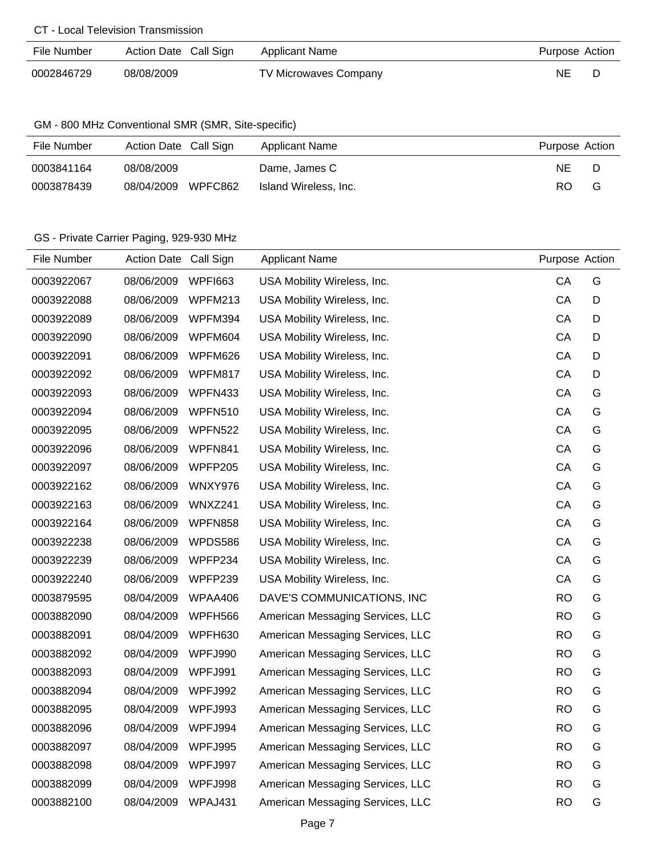#### CT - Local Television Transmission

| File Number | Action Date Call Sign | <b>Applicant Name</b>        | Purpose Action |  |
|-------------|-----------------------|------------------------------|----------------|--|
| 0002846729  | 08/08/2009            | <b>TV Microwaves Company</b> | ΝE             |  |

## GM - 800 MHz Conventional SMR (SMR, Site-specific)

| File Number | Action Date Call Sign | Applicant Name        | Purpose Action |
|-------------|-----------------------|-----------------------|----------------|
| 0003841164  | 08/08/2009            | Dame, James C         | NE.            |
| 0003878439  | WPFC862<br>08/04/2009 | Island Wireless, Inc. | RO.<br>G       |

## GS - Private Carrier Paging, 929-930 MHz

| File Number | <b>Action Date</b> | Call Sign      | <b>Applicant Name</b>            | Purpose Action |   |
|-------------|--------------------|----------------|----------------------------------|----------------|---|
| 0003922067  | 08/06/2009         | <b>WPFI663</b> | USA Mobility Wireless, Inc.      | CA             | G |
| 0003922088  | 08/06/2009         | WPFM213        | USA Mobility Wireless, Inc.      | CA             | D |
| 0003922089  | 08/06/2009         | WPFM394        | USA Mobility Wireless, Inc.      | CA             | D |
| 0003922090  | 08/06/2009         | WPFM604        | USA Mobility Wireless, Inc.      | CA             | D |
| 0003922091  | 08/06/2009         | WPFM626        | USA Mobility Wireless, Inc.      | CA             | D |
| 0003922092  | 08/06/2009         | WPFM817        | USA Mobility Wireless, Inc.      | CA             | D |
| 0003922093  | 08/06/2009         | WPFN433        | USA Mobility Wireless, Inc.      | CA             | G |
| 0003922094  | 08/06/2009         | WPFN510        | USA Mobility Wireless, Inc.      | CA             | G |
| 0003922095  | 08/06/2009         | <b>WPFN522</b> | USA Mobility Wireless, Inc.      | CA             | G |
| 0003922096  | 08/06/2009         | WPFN841        | USA Mobility Wireless, Inc.      | CA             | G |
| 0003922097  | 08/06/2009         | WPFP205        | USA Mobility Wireless, Inc.      | CA             | G |
| 0003922162  | 08/06/2009         | WNXY976        | USA Mobility Wireless, Inc.      | CA             | G |
| 0003922163  | 08/06/2009         | WNXZ241        | USA Mobility Wireless, Inc.      | CA             | G |
| 0003922164  | 08/06/2009         | <b>WPFN858</b> | USA Mobility Wireless, Inc.      | CA             | G |
| 0003922238  | 08/06/2009         | WPDS586        | USA Mobility Wireless, Inc.      | CA             | G |
| 0003922239  | 08/06/2009         | WPFP234        | USA Mobility Wireless, Inc.      | CA             | G |
| 0003922240  | 08/06/2009         | WPFP239        | USA Mobility Wireless, Inc.      | CA             | G |
| 0003879595  | 08/04/2009         | WPAA406        | DAVE'S COMMUNICATIONS, INC       | <b>RO</b>      | G |
| 0003882090  | 08/04/2009         | WPFH566        | American Messaging Services, LLC | <b>RO</b>      | G |
| 0003882091  | 08/04/2009         | WPFH630        | American Messaging Services, LLC | <b>RO</b>      | G |
| 0003882092  | 08/04/2009         | WPFJ990        | American Messaging Services, LLC | <b>RO</b>      | G |
| 0003882093  | 08/04/2009         | WPFJ991        | American Messaging Services, LLC | <b>RO</b>      | G |
| 0003882094  | 08/04/2009         | WPFJ992        | American Messaging Services, LLC | <b>RO</b>      | G |
| 0003882095  | 08/04/2009         | WPFJ993        | American Messaging Services, LLC | <b>RO</b>      | G |
| 0003882096  | 08/04/2009         | WPFJ994        | American Messaging Services, LLC | <b>RO</b>      | G |
| 0003882097  | 08/04/2009         | WPFJ995        | American Messaging Services, LLC | <b>RO</b>      | G |
| 0003882098  | 08/04/2009         | WPFJ997        | American Messaging Services, LLC | <b>RO</b>      | G |
| 0003882099  | 08/04/2009         | WPFJ998        | American Messaging Services, LLC | <b>RO</b>      | G |
| 0003882100  | 08/04/2009         | WPAJ431        | American Messaging Services, LLC | <b>RO</b>      | G |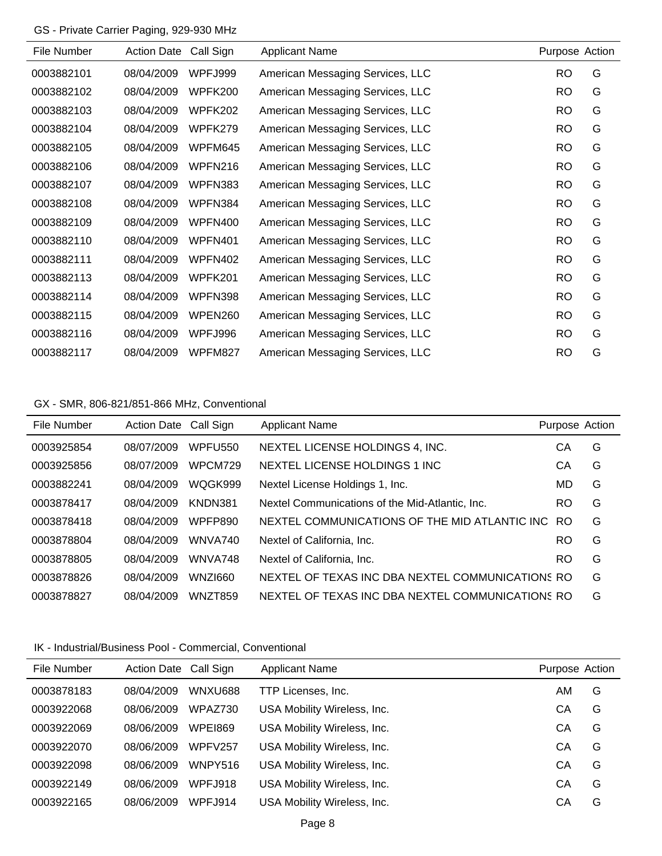## GS - Private Carrier Paging, 929-930 MHz

| File Number | <b>Action Date</b> | Call Sign | <b>Applicant Name</b>            | Purpose Action |   |
|-------------|--------------------|-----------|----------------------------------|----------------|---|
| 0003882101  | 08/04/2009         | WPFJ999   | American Messaging Services, LLC | RO             | G |
| 0003882102  | 08/04/2009         | WPFK200   | American Messaging Services, LLC | <b>RO</b>      | G |
| 0003882103  | 08/04/2009         | WPFK202   | American Messaging Services, LLC | <b>RO</b>      | G |
| 0003882104  | 08/04/2009         | WPFK279   | American Messaging Services, LLC | <b>RO</b>      | G |
| 0003882105  | 08/04/2009         | WPFM645   | American Messaging Services, LLC | <b>RO</b>      | G |
| 0003882106  | 08/04/2009         | WPFN216   | American Messaging Services, LLC | <b>RO</b>      | G |
| 0003882107  | 08/04/2009         | WPFN383   | American Messaging Services, LLC | <b>RO</b>      | G |
| 0003882108  | 08/04/2009         | WPFN384   | American Messaging Services, LLC | <b>RO</b>      | G |
| 0003882109  | 08/04/2009         | WPFN400   | American Messaging Services, LLC | <b>RO</b>      | G |
| 0003882110  | 08/04/2009         | WPFN401   | American Messaging Services, LLC | <b>RO</b>      | G |
| 0003882111  | 08/04/2009         | WPFN402   | American Messaging Services, LLC | <b>RO</b>      | G |
| 0003882113  | 08/04/2009         | WPFK201   | American Messaging Services, LLC | <b>RO</b>      | G |
| 0003882114  | 08/04/2009         | WPFN398   | American Messaging Services, LLC | <b>RO</b>      | G |
| 0003882115  | 08/04/2009         | WPEN260   | American Messaging Services, LLC | <b>RO</b>      | G |
| 0003882116  | 08/04/2009         | WPFJ996   | American Messaging Services, LLC | <b>RO</b>      | G |
| 0003882117  | 08/04/2009         | WPFM827   | American Messaging Services, LLC | <b>RO</b>      | G |

## GX - SMR, 806-821/851-866 MHz, Conventional

| File Number | <b>Action Date</b> | Call Sign           | <b>Applicant Name</b>                            | Purpose Action |   |
|-------------|--------------------|---------------------|--------------------------------------------------|----------------|---|
| 0003925854  | 08/07/2009         | WPFU <sub>550</sub> | NEXTEL LICENSE HOLDINGS 4, INC.                  | CА             | G |
| 0003925856  | 08/07/2009         | WPCM729             | NEXTEL LICENSE HOLDINGS 1 INC.                   | CА             | G |
| 0003882241  | 08/04/2009         | WQGK999             | Nextel License Holdings 1, Inc.                  | MD             | G |
| 0003878417  | 08/04/2009         | KNDN381             | Nextel Communications of the Mid-Atlantic, Inc.  | <b>RO</b>      | G |
| 0003878418  | 08/04/2009         | WPFP890             | NEXTEL COMMUNICATIONS OF THE MID ATLANTIC INC.   | RO.            | G |
| 0003878804  | 08/04/2009         | WNVA740             | Nextel of California. Inc.                       | <b>RO</b>      | G |
| 0003878805  | 08/04/2009         | WNVA748             | Nextel of California, Inc.                       | <b>RO</b>      | G |
| 0003878826  | 08/04/2009         | WNZI660             | NEXTEL OF TEXAS INC DBA NEXTEL COMMUNICATIONS RO |                | G |
| 0003878827  | 08/04/2009         | WNZT859             | NEXTEL OF TEXAS INC DBA NEXTEL COMMUNICATIONS RO |                | G |

### IK - Industrial/Business Pool - Commercial, Conventional

| File Number | Action Date Call Sign |                | <b>Applicant Name</b>       | Purpose Action |   |
|-------------|-----------------------|----------------|-----------------------------|----------------|---|
| 0003878183  | 08/04/2009            | WNXU688        | TTP Licenses, Inc.          | AM.            | G |
| 0003922068  | 08/06/2009            | WPAZ730        | USA Mobility Wireless, Inc. | CА             | G |
| 0003922069  | 08/06/2009            | <b>WPE1869</b> | USA Mobility Wireless, Inc. | CА             | G |
| 0003922070  | 08/06/2009            | WPFV257        | USA Mobility Wireless, Inc. | CА             | G |
| 0003922098  | 08/06/2009            | WNPY516        | USA Mobility Wireless, Inc. | CА             | G |
| 0003922149  | 08/06/2009            | <b>WPFJ918</b> | USA Mobility Wireless, Inc. | CА             | G |
| 0003922165  | 08/06/2009            | <b>WPFJ914</b> | USA Mobility Wireless, Inc. | CА             | G |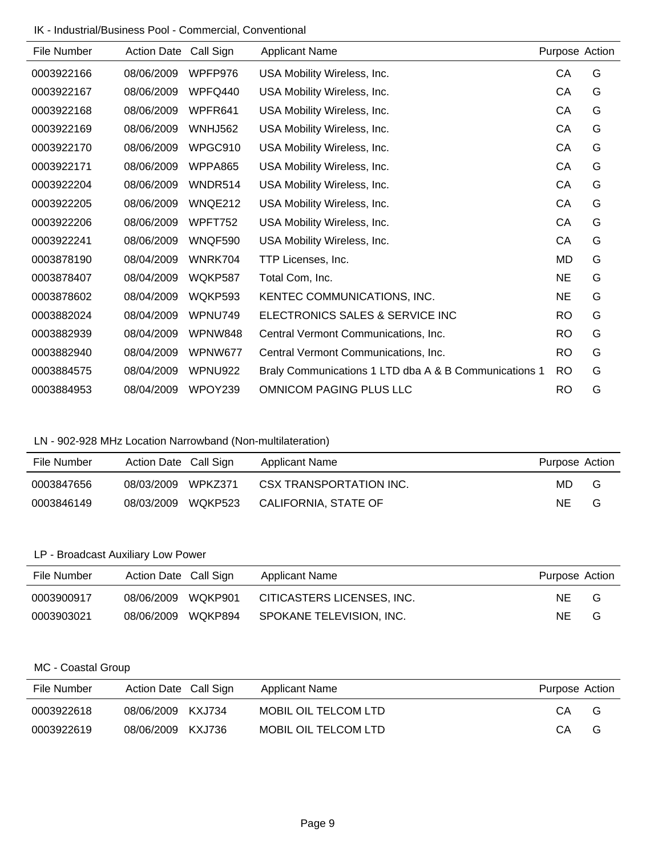IK - Industrial/Business Pool - Commercial, Conventional

| File Number | <b>Action Date</b> | Call Sign      | <b>Applicant Name</b>                                 | Purpose Action |   |
|-------------|--------------------|----------------|-------------------------------------------------------|----------------|---|
| 0003922166  | 08/06/2009         | WPFP976        | USA Mobility Wireless, Inc.                           | СA             | G |
| 0003922167  | 08/06/2009         | WPFQ440        | USA Mobility Wireless, Inc.                           | CA             | G |
| 0003922168  | 08/06/2009         | WPFR641        | USA Mobility Wireless, Inc.                           | CA             | G |
| 0003922169  | 08/06/2009         | <b>WNHJ562</b> | USA Mobility Wireless, Inc.                           | CA             | G |
| 0003922170  | 08/06/2009         | WPGC910        | USA Mobility Wireless, Inc.                           | CA             | G |
| 0003922171  | 08/06/2009         | WPPA865        | USA Mobility Wireless, Inc.                           | CA             | G |
| 0003922204  | 08/06/2009         | WNDR514        | USA Mobility Wireless, Inc.                           | CA             | G |
| 0003922205  | 08/06/2009         | WNQE212        | USA Mobility Wireless, Inc.                           | CA             | G |
| 0003922206  | 08/06/2009         | WPFT752        | USA Mobility Wireless, Inc.                           | CA             | G |
| 0003922241  | 08/06/2009         | WNQF590        | USA Mobility Wireless, Inc.                           | CA             | G |
| 0003878190  | 08/04/2009         | WNRK704        | TTP Licenses, Inc.                                    | MD             | G |
| 0003878407  | 08/04/2009         | WQKP587        | Total Com, Inc.                                       | <b>NE</b>      | G |
| 0003878602  | 08/04/2009         | WQKP593        | KENTEC COMMUNICATIONS, INC.                           | <b>NE</b>      | G |
| 0003882024  | 08/04/2009         | WPNU749        | ELECTRONICS SALES & SERVICE INC                       | <b>RO</b>      | G |
| 0003882939  | 08/04/2009         | WPNW848        | Central Vermont Communications, Inc.                  | <b>RO</b>      | G |
| 0003882940  | 08/04/2009         | WPNW677        | Central Vermont Communications, Inc.                  | <b>RO</b>      | G |
| 0003884575  | 08/04/2009         | WPNU922        | Braly Communications 1 LTD dba A & B Communications 1 | <b>RO</b>      | G |
| 0003884953  | 08/04/2009         | WPOY239        | <b>OMNICOM PAGING PLUS LLC</b>                        | <b>RO</b>      | G |

# LN - 902-928 MHz Location Narrowband (Non-multilateration)

| File Number | Action Date Call Sign |         | Applicant Name          | Purpose Action |   |
|-------------|-----------------------|---------|-------------------------|----------------|---|
| 0003847656  | 08/03/2009            | WPKZ371 | CSX TRANSPORTATION INC. | MD.            | G |
| 0003846149  | 08/03/2009            | WQKP523 | CALIFORNIA, STATE OF    | NE             | G |

## LP - Broadcast Auxiliary Low Power

| File Number | Action Date Call Sign |         | Applicant Name             | Purpose Action |   |
|-------------|-----------------------|---------|----------------------------|----------------|---|
| 0003900917  | 08/06/2009            | WOKP901 | CITICASTERS LICENSES, INC. | NF.            | G |
| 0003903021  | 08/06/2009 WQKP894    |         | SPOKANE TELEVISION, INC.   | NΕ             | G |

## MC - Coastal Group

| File Number | Action Date Call Sign | Applicant Name       | Purpose Action |   |
|-------------|-----------------------|----------------------|----------------|---|
| 0003922618  | 08/06/2009 KXJ734     | MOBIL OIL TELCOM LTD | CA.            | G |
| 0003922619  | 08/06/2009 KXJ736     | MOBIL OIL TELCOM LTD | CA             | G |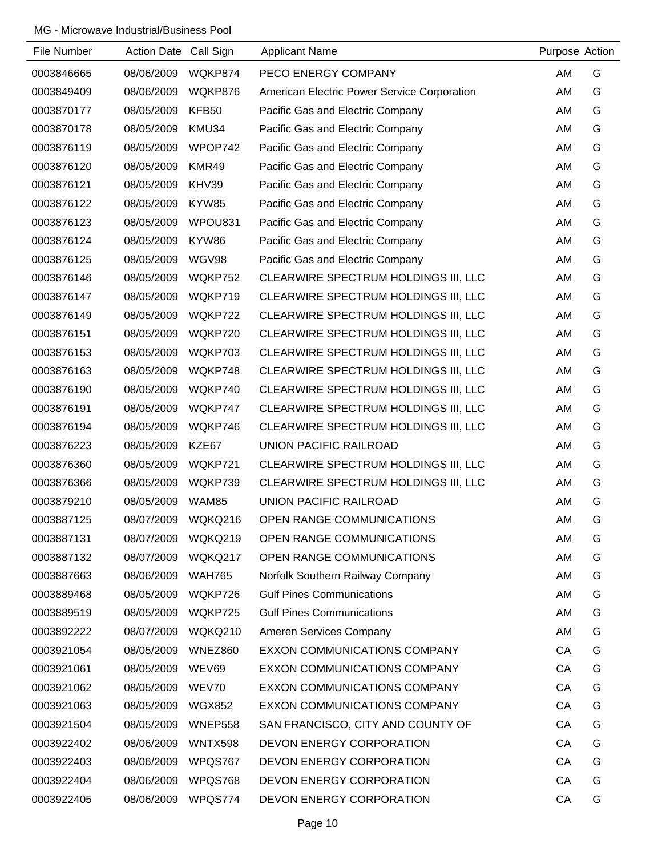| File Number | Action Date Call Sign |                | <b>Applicant Name</b>                       | Purpose Action |   |
|-------------|-----------------------|----------------|---------------------------------------------|----------------|---|
| 0003846665  | 08/06/2009            | WQKP874        | PECO ENERGY COMPANY                         | AM             | G |
| 0003849409  | 08/06/2009            | WQKP876        | American Electric Power Service Corporation | AM             | G |
| 0003870177  | 08/05/2009            | KFB50          | Pacific Gas and Electric Company            | AM             | G |
| 0003870178  | 08/05/2009            | KMU34          | Pacific Gas and Electric Company            | AM             | G |
| 0003876119  | 08/05/2009            | WPOP742        | Pacific Gas and Electric Company            | AM             | G |
| 0003876120  | 08/05/2009            | KMR49          | Pacific Gas and Electric Company            | AM             | G |
| 0003876121  | 08/05/2009            | KHV39          | Pacific Gas and Electric Company            | AM             | G |
| 0003876122  | 08/05/2009            | KYW85          | Pacific Gas and Electric Company            | AM             | G |
| 0003876123  | 08/05/2009            | WPOU831        | Pacific Gas and Electric Company            | AM             | G |
| 0003876124  | 08/05/2009            | KYW86          | Pacific Gas and Electric Company            | AM             | G |
| 0003876125  | 08/05/2009            | WGV98          | Pacific Gas and Electric Company            | AM             | G |
| 0003876146  | 08/05/2009            | WQKP752        | CLEARWIRE SPECTRUM HOLDINGS III, LLC        | AM             | G |
| 0003876147  | 08/05/2009            | WQKP719        | CLEARWIRE SPECTRUM HOLDINGS III, LLC        | AM             | G |
| 0003876149  | 08/05/2009            | WQKP722        | CLEARWIRE SPECTRUM HOLDINGS III, LLC        | AM             | G |
| 0003876151  | 08/05/2009            | WQKP720        | CLEARWIRE SPECTRUM HOLDINGS III, LLC        | AM             | G |
| 0003876153  | 08/05/2009            | WQKP703        | CLEARWIRE SPECTRUM HOLDINGS III, LLC        | AM             | G |
| 0003876163  | 08/05/2009            | WQKP748        | CLEARWIRE SPECTRUM HOLDINGS III, LLC        | AM             | G |
| 0003876190  | 08/05/2009            | WQKP740        | CLEARWIRE SPECTRUM HOLDINGS III, LLC        | AM             | G |
| 0003876191  | 08/05/2009            | WQKP747        | CLEARWIRE SPECTRUM HOLDINGS III, LLC        | AM             | G |
| 0003876194  | 08/05/2009            | WQKP746        | CLEARWIRE SPECTRUM HOLDINGS III, LLC        | AM             | G |
| 0003876223  | 08/05/2009            | KZE67          | UNION PACIFIC RAILROAD                      | AM             | G |
| 0003876360  | 08/05/2009            | WQKP721        | CLEARWIRE SPECTRUM HOLDINGS III, LLC        | AM             | G |
| 0003876366  | 08/05/2009            | WQKP739        | CLEARWIRE SPECTRUM HOLDINGS III, LLC        | AM             | G |
| 0003879210  | 08/05/2009            | WAM85          | UNION PACIFIC RAILROAD                      | AM             | G |
| 0003887125  | 08/07/2009            | WQKQ216        | OPEN RANGE COMMUNICATIONS                   | AM             | G |
| 0003887131  | 08/07/2009            | WQKQ219        | OPEN RANGE COMMUNICATIONS                   | AM             | G |
| 0003887132  | 08/07/2009            | WQKQ217        | OPEN RANGE COMMUNICATIONS                   | AM             | G |
| 0003887663  | 08/06/2009            | <b>WAH765</b>  | Norfolk Southern Railway Company            | AM             | G |
| 0003889468  | 08/05/2009            | WQKP726        | <b>Gulf Pines Communications</b>            | AM             | G |
| 0003889519  | 08/05/2009            | WQKP725        | <b>Gulf Pines Communications</b>            | AM             | G |
| 0003892222  | 08/07/2009            | WQKQ210        | Ameren Services Company                     | AM             | G |
| 0003921054  | 08/05/2009            | <b>WNEZ860</b> | EXXON COMMUNICATIONS COMPANY                | CA             | G |
| 0003921061  | 08/05/2009            | WEV69          | EXXON COMMUNICATIONS COMPANY                | CA             | G |
| 0003921062  | 08/05/2009            | WEV70          | EXXON COMMUNICATIONS COMPANY                | CA             | G |
| 0003921063  | 08/05/2009            | <b>WGX852</b>  | EXXON COMMUNICATIONS COMPANY                | CA             | G |
| 0003921504  | 08/05/2009            | WNEP558        | SAN FRANCISCO, CITY AND COUNTY OF           | CA             | G |
| 0003922402  | 08/06/2009            | WNTX598        | DEVON ENERGY CORPORATION                    | CA             | G |
| 0003922403  | 08/06/2009            | WPQS767        | DEVON ENERGY CORPORATION                    | CA             | G |
| 0003922404  | 08/06/2009            | WPQS768        | DEVON ENERGY CORPORATION                    | CA             | G |
| 0003922405  | 08/06/2009            | WPQS774        | DEVON ENERGY CORPORATION                    | CA             | G |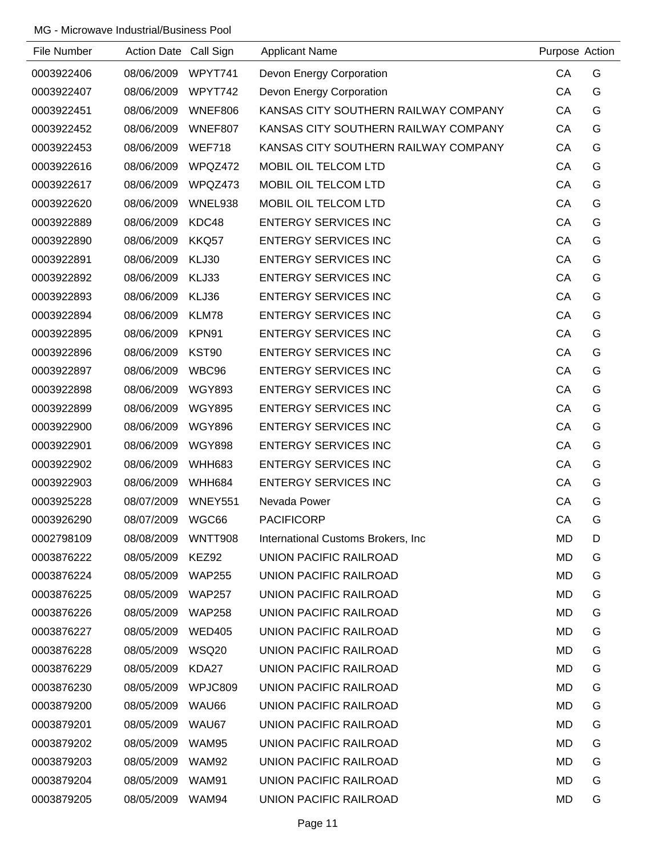| File Number | Action Date Call Sign |               | <b>Applicant Name</b>                | Purpose Action |   |
|-------------|-----------------------|---------------|--------------------------------------|----------------|---|
| 0003922406  | 08/06/2009            | WPYT741       | Devon Energy Corporation             | CA             | G |
| 0003922407  | 08/06/2009            | WPYT742       | Devon Energy Corporation             | CA             | G |
| 0003922451  | 08/06/2009            | WNEF806       | KANSAS CITY SOUTHERN RAILWAY COMPANY | CA             | G |
| 0003922452  | 08/06/2009            | WNEF807       | KANSAS CITY SOUTHERN RAILWAY COMPANY | CA             | G |
| 0003922453  | 08/06/2009            | <b>WEF718</b> | KANSAS CITY SOUTHERN RAILWAY COMPANY | CA             | G |
| 0003922616  | 08/06/2009            | WPQZ472       | MOBIL OIL TELCOM LTD                 | CA             | G |
| 0003922617  | 08/06/2009            | WPQZ473       | MOBIL OIL TELCOM LTD                 | CA             | G |
| 0003922620  | 08/06/2009            | WNEL938       | MOBIL OIL TELCOM LTD                 | CA             | G |
| 0003922889  | 08/06/2009            | KDC48         | <b>ENTERGY SERVICES INC</b>          | CA             | G |
| 0003922890  | 08/06/2009            | KKQ57         | <b>ENTERGY SERVICES INC</b>          | CA             | G |
| 0003922891  | 08/06/2009            | KLJ30         | <b>ENTERGY SERVICES INC</b>          | CA             | G |
| 0003922892  | 08/06/2009            | KLJ33         | <b>ENTERGY SERVICES INC</b>          | CA             | G |
| 0003922893  | 08/06/2009            | KLJ36         | <b>ENTERGY SERVICES INC</b>          | CA             | G |
| 0003922894  | 08/06/2009            | KLM78         | <b>ENTERGY SERVICES INC</b>          | CA             | G |
| 0003922895  | 08/06/2009            | KPN91         | <b>ENTERGY SERVICES INC</b>          | CA             | G |
| 0003922896  | 08/06/2009            | KST90         | <b>ENTERGY SERVICES INC</b>          | CA             | G |
| 0003922897  | 08/06/2009            | WBC96         | <b>ENTERGY SERVICES INC</b>          | CA             | G |
| 0003922898  | 08/06/2009            | <b>WGY893</b> | <b>ENTERGY SERVICES INC</b>          | CA             | G |
| 0003922899  | 08/06/2009            | <b>WGY895</b> | <b>ENTERGY SERVICES INC</b>          | CA             | G |
| 0003922900  | 08/06/2009            | <b>WGY896</b> | <b>ENTERGY SERVICES INC</b>          | CA             | G |
| 0003922901  | 08/06/2009            | <b>WGY898</b> | <b>ENTERGY SERVICES INC</b>          | CA             | G |
| 0003922902  | 08/06/2009            | <b>WHH683</b> | <b>ENTERGY SERVICES INC</b>          | CA             | G |
| 0003922903  | 08/06/2009            | <b>WHH684</b> | <b>ENTERGY SERVICES INC</b>          | CA             | G |
| 0003925228  | 08/07/2009            | WNEY551       | Nevada Power                         | CA             | G |
| 0003926290  | 08/07/2009            | WGC66         | <b>PACIFICORP</b>                    | CA             | G |
| 0002798109  | 08/08/2009            | WNTT908       | International Customs Brokers, Inc.  | MD             | D |
| 0003876222  | 08/05/2009            | KEZ92         | <b>UNION PACIFIC RAILROAD</b>        | MD             | G |
| 0003876224  | 08/05/2009            | <b>WAP255</b> | UNION PACIFIC RAILROAD               | <b>MD</b>      | G |
| 0003876225  | 08/05/2009            | <b>WAP257</b> | <b>UNION PACIFIC RAILROAD</b>        | MD             | G |
| 0003876226  | 08/05/2009            | <b>WAP258</b> | UNION PACIFIC RAILROAD               | MD             | G |
| 0003876227  | 08/05/2009            | <b>WED405</b> | UNION PACIFIC RAILROAD               | MD             | G |
| 0003876228  | 08/05/2009            | <b>WSQ20</b>  | UNION PACIFIC RAILROAD               | MD             | G |
| 0003876229  | 08/05/2009            | KDA27         | UNION PACIFIC RAILROAD               | MD             | G |
| 0003876230  | 08/05/2009            | WPJC809       | UNION PACIFIC RAILROAD               | MD             | G |
| 0003879200  | 08/05/2009            | WAU66         | UNION PACIFIC RAILROAD               | MD             | G |
| 0003879201  | 08/05/2009            | WAU67         | UNION PACIFIC RAILROAD               | MD             | G |
| 0003879202  | 08/05/2009            | WAM95         | UNION PACIFIC RAILROAD               | MD             | G |
| 0003879203  | 08/05/2009            | <b>WAM92</b>  | UNION PACIFIC RAILROAD               | MD             | G |
| 0003879204  | 08/05/2009            | WAM91         | UNION PACIFIC RAILROAD               | MD             | G |
| 0003879205  | 08/05/2009            | WAM94         | UNION PACIFIC RAILROAD               | MD             | G |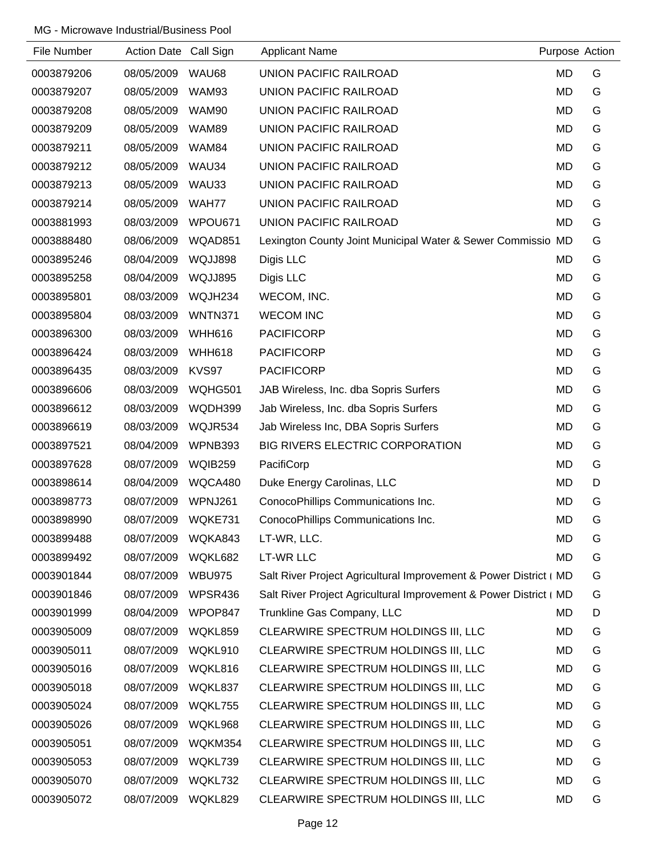| File Number | <b>Action Date</b> | Call Sign      | <b>Applicant Name</b>                                             | Purpose Action |   |
|-------------|--------------------|----------------|-------------------------------------------------------------------|----------------|---|
| 0003879206  | 08/05/2009         | WAU68          | UNION PACIFIC RAILROAD                                            | <b>MD</b>      | G |
| 0003879207  | 08/05/2009         | WAM93          | UNION PACIFIC RAILROAD                                            | <b>MD</b>      | G |
| 0003879208  | 08/05/2009         | WAM90          | UNION PACIFIC RAILROAD                                            | <b>MD</b>      | G |
| 0003879209  | 08/05/2009         | WAM89          | UNION PACIFIC RAILROAD                                            | <b>MD</b>      | G |
| 0003879211  | 08/05/2009         | WAM84          | UNION PACIFIC RAILROAD                                            | <b>MD</b>      | G |
| 0003879212  | 08/05/2009         | WAU34          | UNION PACIFIC RAILROAD                                            | <b>MD</b>      | G |
| 0003879213  | 08/05/2009         | WAU33          | UNION PACIFIC RAILROAD                                            | <b>MD</b>      | G |
| 0003879214  | 08/05/2009         | WAH77          | UNION PACIFIC RAILROAD                                            | <b>MD</b>      | G |
| 0003881993  | 08/03/2009         | WPOU671        | UNION PACIFIC RAILROAD                                            | <b>MD</b>      | G |
| 0003888480  | 08/06/2009         | WQAD851        | Lexington County Joint Municipal Water & Sewer Commissio MD       |                | G |
| 0003895246  | 08/04/2009         | WQJJ898        | Digis LLC                                                         | <b>MD</b>      | G |
| 0003895258  | 08/04/2009         | WQJJ895        | Digis LLC                                                         | <b>MD</b>      | G |
| 0003895801  | 08/03/2009         | WQJH234        | WECOM, INC.                                                       | <b>MD</b>      | G |
| 0003895804  | 08/03/2009         | <b>WNTN371</b> | <b>WECOM INC</b>                                                  | <b>MD</b>      | G |
| 0003896300  | 08/03/2009         | <b>WHH616</b>  | <b>PACIFICORP</b>                                                 | <b>MD</b>      | G |
| 0003896424  | 08/03/2009         | <b>WHH618</b>  | <b>PACIFICORP</b>                                                 | <b>MD</b>      | G |
| 0003896435  | 08/03/2009         | KVS97          | <b>PACIFICORP</b>                                                 | <b>MD</b>      | G |
| 0003896606  | 08/03/2009         | WQHG501        | JAB Wireless, Inc. dba Sopris Surfers                             | <b>MD</b>      | G |
| 0003896612  | 08/03/2009         | WQDH399        | Jab Wireless, Inc. dba Sopris Surfers                             | <b>MD</b>      | G |
| 0003896619  | 08/03/2009         | WQJR534        | Jab Wireless Inc, DBA Sopris Surfers                              | MD             | G |
| 0003897521  | 08/04/2009         | WPNB393        | BIG RIVERS ELECTRIC CORPORATION                                   | <b>MD</b>      | G |
| 0003897628  | 08/07/2009         | <b>WQIB259</b> | PacifiCorp                                                        | <b>MD</b>      | G |
| 0003898614  | 08/04/2009         | WQCA480        | Duke Energy Carolinas, LLC                                        | <b>MD</b>      | D |
| 0003898773  | 08/07/2009         | WPNJ261        | ConocoPhillips Communications Inc.                                | <b>MD</b>      | G |
| 0003898990  | 08/07/2009         | WQKE731        | ConocoPhillips Communications Inc.                                | <b>MD</b>      | G |
| 0003899488  | 08/07/2009         | WQKA843        | LT-WR, LLC.                                                       | <b>MD</b>      | G |
| 0003899492  | 08/07/2009         | WQKL682        | LT-WR LLC                                                         | MD             | G |
| 0003901844  | 08/07/2009         | <b>WBU975</b>  | Salt River Project Agricultural Improvement & Power District ( MD |                | G |
| 0003901846  | 08/07/2009         | WPSR436        | Salt River Project Agricultural Improvement & Power District ( MD |                | G |
| 0003901999  | 08/04/2009         | WPOP847        | Trunkline Gas Company, LLC                                        | <b>MD</b>      | D |
| 0003905009  | 08/07/2009         | WQKL859        | CLEARWIRE SPECTRUM HOLDINGS III, LLC                              | <b>MD</b>      | G |
| 0003905011  | 08/07/2009         | WQKL910        | CLEARWIRE SPECTRUM HOLDINGS III, LLC                              | MD             | G |
| 0003905016  | 08/07/2009         | WQKL816        | CLEARWIRE SPECTRUM HOLDINGS III, LLC                              | <b>MD</b>      | G |
| 0003905018  | 08/07/2009         | WQKL837        | CLEARWIRE SPECTRUM HOLDINGS III, LLC                              | MD             | G |
| 0003905024  | 08/07/2009         | WQKL755        | CLEARWIRE SPECTRUM HOLDINGS III, LLC                              | <b>MD</b>      | G |
| 0003905026  | 08/07/2009         | WQKL968        | CLEARWIRE SPECTRUM HOLDINGS III, LLC                              | MD             | G |
| 0003905051  | 08/07/2009         | WQKM354        | CLEARWIRE SPECTRUM HOLDINGS III, LLC                              | MD             | G |
| 0003905053  | 08/07/2009         | WQKL739        | CLEARWIRE SPECTRUM HOLDINGS III, LLC                              | <b>MD</b>      | G |
| 0003905070  | 08/07/2009         | WQKL732        | CLEARWIRE SPECTRUM HOLDINGS III, LLC                              | MD             | G |
| 0003905072  | 08/07/2009         | WQKL829        | CLEARWIRE SPECTRUM HOLDINGS III, LLC                              | MD             | G |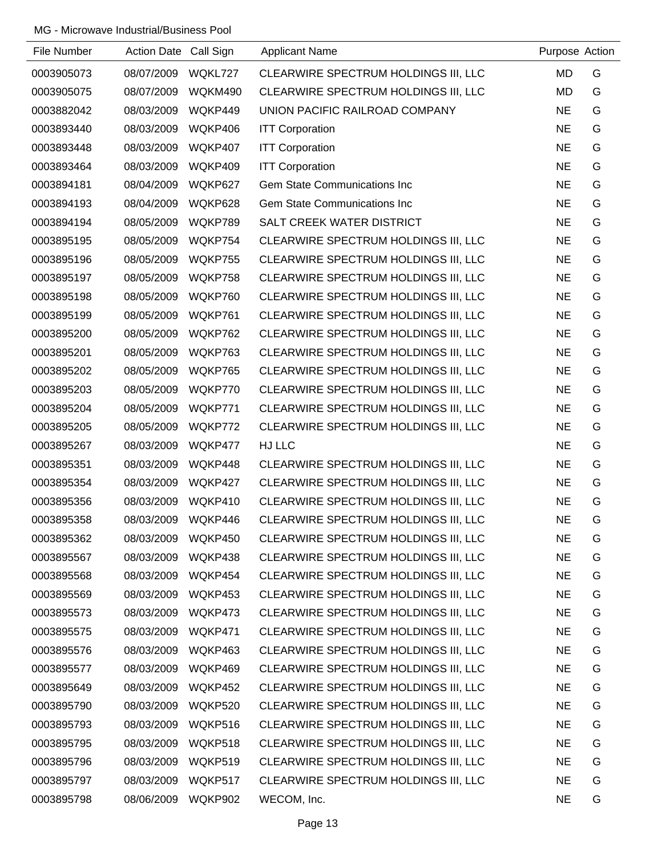| File Number | Action Date Call Sign |         | <b>Applicant Name</b>                | Purpose Action |   |
|-------------|-----------------------|---------|--------------------------------------|----------------|---|
| 0003905073  | 08/07/2009            | WQKL727 | CLEARWIRE SPECTRUM HOLDINGS III, LLC | <b>MD</b>      | G |
| 0003905075  | 08/07/2009            | WQKM490 | CLEARWIRE SPECTRUM HOLDINGS III, LLC | <b>MD</b>      | G |
| 0003882042  | 08/03/2009            | WQKP449 | UNION PACIFIC RAILROAD COMPANY       | <b>NE</b>      | G |
| 0003893440  | 08/03/2009            | WQKP406 | <b>ITT Corporation</b>               | <b>NE</b>      | G |
| 0003893448  | 08/03/2009            | WQKP407 | <b>ITT Corporation</b>               | <b>NE</b>      | G |
| 0003893464  | 08/03/2009            | WQKP409 | <b>ITT Corporation</b>               | <b>NE</b>      | G |
| 0003894181  | 08/04/2009            | WQKP627 | <b>Gem State Communications Inc</b>  | <b>NE</b>      | G |
| 0003894193  | 08/04/2009            | WQKP628 | <b>Gem State Communications Inc</b>  | <b>NE</b>      | G |
| 0003894194  | 08/05/2009            | WQKP789 | SALT CREEK WATER DISTRICT            | <b>NE</b>      | G |
| 0003895195  | 08/05/2009            | WQKP754 | CLEARWIRE SPECTRUM HOLDINGS III, LLC | <b>NE</b>      | G |
| 0003895196  | 08/05/2009            | WQKP755 | CLEARWIRE SPECTRUM HOLDINGS III, LLC | <b>NE</b>      | G |
| 0003895197  | 08/05/2009            | WQKP758 | CLEARWIRE SPECTRUM HOLDINGS III, LLC | <b>NE</b>      | G |
| 0003895198  | 08/05/2009            | WQKP760 | CLEARWIRE SPECTRUM HOLDINGS III, LLC | <b>NE</b>      | G |
| 0003895199  | 08/05/2009            | WQKP761 | CLEARWIRE SPECTRUM HOLDINGS III, LLC | <b>NE</b>      | G |
| 0003895200  | 08/05/2009            | WQKP762 | CLEARWIRE SPECTRUM HOLDINGS III, LLC | <b>NE</b>      | G |
| 0003895201  | 08/05/2009            | WQKP763 | CLEARWIRE SPECTRUM HOLDINGS III, LLC | <b>NE</b>      | G |
| 0003895202  | 08/05/2009            | WQKP765 | CLEARWIRE SPECTRUM HOLDINGS III, LLC | <b>NE</b>      | G |
| 0003895203  | 08/05/2009            | WQKP770 | CLEARWIRE SPECTRUM HOLDINGS III, LLC | <b>NE</b>      | G |
| 0003895204  | 08/05/2009            | WQKP771 | CLEARWIRE SPECTRUM HOLDINGS III, LLC | <b>NE</b>      | G |
| 0003895205  | 08/05/2009            | WQKP772 | CLEARWIRE SPECTRUM HOLDINGS III, LLC | <b>NE</b>      | G |
| 0003895267  | 08/03/2009            | WQKP477 | <b>HJ LLC</b>                        | <b>NE</b>      | G |
| 0003895351  | 08/03/2009            | WQKP448 | CLEARWIRE SPECTRUM HOLDINGS III, LLC | <b>NE</b>      | G |
| 0003895354  | 08/03/2009            | WQKP427 | CLEARWIRE SPECTRUM HOLDINGS III, LLC | <b>NE</b>      | G |
| 0003895356  | 08/03/2009            | WQKP410 | CLEARWIRE SPECTRUM HOLDINGS III, LLC | <b>NE</b>      | G |
| 0003895358  | 08/03/2009            | WQKP446 | CLEARWIRE SPECTRUM HOLDINGS III, LLC | <b>NE</b>      | G |
| 0003895362  | 08/03/2009            | WQKP450 | CLEARWIRE SPECTRUM HOLDINGS III, LLC | <b>NE</b>      | G |
| 0003895567  | 08/03/2009            | WQKP438 | CLEARWIRE SPECTRUM HOLDINGS III, LLC | <b>NE</b>      | G |
| 0003895568  | 08/03/2009            | WQKP454 | CLEARWIRE SPECTRUM HOLDINGS III, LLC | <b>NE</b>      | G |
| 0003895569  | 08/03/2009            | WQKP453 | CLEARWIRE SPECTRUM HOLDINGS III, LLC | <b>NE</b>      | G |
| 0003895573  | 08/03/2009            | WQKP473 | CLEARWIRE SPECTRUM HOLDINGS III, LLC | <b>NE</b>      | G |
| 0003895575  | 08/03/2009            | WQKP471 | CLEARWIRE SPECTRUM HOLDINGS III, LLC | <b>NE</b>      | G |
| 0003895576  | 08/03/2009            | WQKP463 | CLEARWIRE SPECTRUM HOLDINGS III, LLC | <b>NE</b>      | G |
| 0003895577  | 08/03/2009            | WQKP469 | CLEARWIRE SPECTRUM HOLDINGS III, LLC | <b>NE</b>      | G |
| 0003895649  | 08/03/2009            | WQKP452 | CLEARWIRE SPECTRUM HOLDINGS III, LLC | <b>NE</b>      | G |
| 0003895790  | 08/03/2009            | WQKP520 | CLEARWIRE SPECTRUM HOLDINGS III, LLC | <b>NE</b>      | G |
| 0003895793  | 08/03/2009            | WQKP516 | CLEARWIRE SPECTRUM HOLDINGS III, LLC | <b>NE</b>      | G |
| 0003895795  | 08/03/2009            | WQKP518 | CLEARWIRE SPECTRUM HOLDINGS III, LLC | <b>NE</b>      | G |
| 0003895796  | 08/03/2009            | WQKP519 | CLEARWIRE SPECTRUM HOLDINGS III, LLC | <b>NE</b>      | G |
| 0003895797  | 08/03/2009            | WQKP517 | CLEARWIRE SPECTRUM HOLDINGS III, LLC | <b>NE</b>      | G |
| 0003895798  | 08/06/2009            | WQKP902 | WECOM, Inc.                          | <b>NE</b>      | G |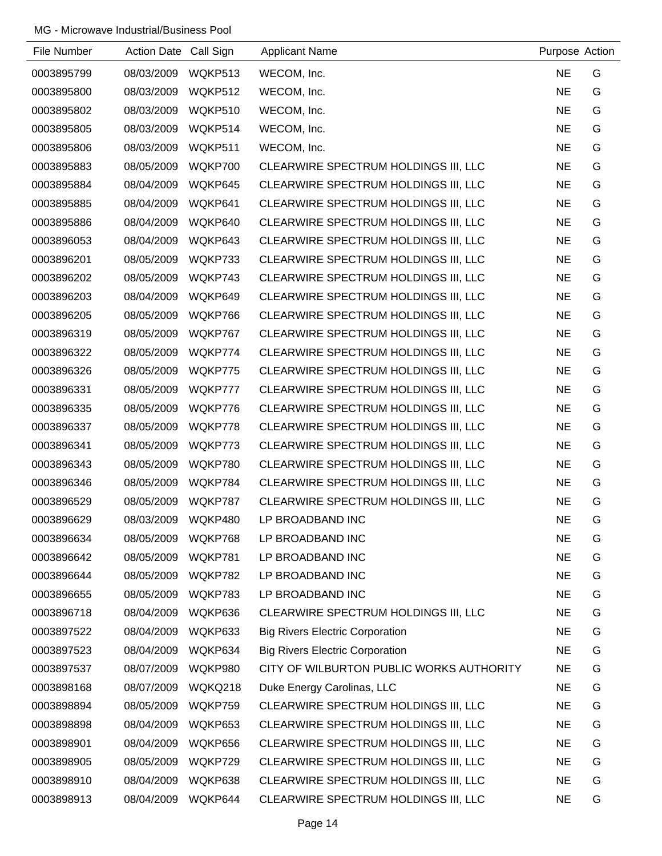| File Number | <b>Action Date</b> | Call Sign | <b>Applicant Name</b>                    | Purpose Action |   |
|-------------|--------------------|-----------|------------------------------------------|----------------|---|
| 0003895799  | 08/03/2009         | WQKP513   | WECOM, Inc.                              | <b>NE</b>      | G |
| 0003895800  | 08/03/2009         | WQKP512   | WECOM, Inc.                              | <b>NE</b>      | G |
| 0003895802  | 08/03/2009         | WQKP510   | WECOM, Inc.                              | <b>NE</b>      | G |
| 0003895805  | 08/03/2009         | WQKP514   | WECOM, Inc.                              | <b>NE</b>      | G |
| 0003895806  | 08/03/2009         | WQKP511   | WECOM, Inc.                              | <b>NE</b>      | G |
| 0003895883  | 08/05/2009         | WQKP700   | CLEARWIRE SPECTRUM HOLDINGS III, LLC     | <b>NE</b>      | G |
| 0003895884  | 08/04/2009         | WQKP645   | CLEARWIRE SPECTRUM HOLDINGS III, LLC     | <b>NE</b>      | G |
| 0003895885  | 08/04/2009         | WQKP641   | CLEARWIRE SPECTRUM HOLDINGS III, LLC     | <b>NE</b>      | G |
| 0003895886  | 08/04/2009         | WQKP640   | CLEARWIRE SPECTRUM HOLDINGS III, LLC     | <b>NE</b>      | G |
| 0003896053  | 08/04/2009         | WQKP643   | CLEARWIRE SPECTRUM HOLDINGS III, LLC     | <b>NE</b>      | G |
| 0003896201  | 08/05/2009         | WQKP733   | CLEARWIRE SPECTRUM HOLDINGS III, LLC     | <b>NE</b>      | G |
| 0003896202  | 08/05/2009         | WQKP743   | CLEARWIRE SPECTRUM HOLDINGS III, LLC     | <b>NE</b>      | G |
| 0003896203  | 08/04/2009         | WQKP649   | CLEARWIRE SPECTRUM HOLDINGS III, LLC     | <b>NE</b>      | G |
| 0003896205  | 08/05/2009         | WQKP766   | CLEARWIRE SPECTRUM HOLDINGS III, LLC     | <b>NE</b>      | G |
| 0003896319  | 08/05/2009         | WQKP767   | CLEARWIRE SPECTRUM HOLDINGS III, LLC     | <b>NE</b>      | G |
| 0003896322  | 08/05/2009         | WQKP774   | CLEARWIRE SPECTRUM HOLDINGS III, LLC     | <b>NE</b>      | G |
| 0003896326  | 08/05/2009         | WQKP775   | CLEARWIRE SPECTRUM HOLDINGS III, LLC     | <b>NE</b>      | G |
| 0003896331  | 08/05/2009         | WQKP777   | CLEARWIRE SPECTRUM HOLDINGS III, LLC     | <b>NE</b>      | G |
| 0003896335  | 08/05/2009         | WQKP776   | CLEARWIRE SPECTRUM HOLDINGS III, LLC     | <b>NE</b>      | G |
| 0003896337  | 08/05/2009         | WQKP778   | CLEARWIRE SPECTRUM HOLDINGS III, LLC     | <b>NE</b>      | G |
| 0003896341  | 08/05/2009         | WQKP773   | CLEARWIRE SPECTRUM HOLDINGS III, LLC     | <b>NE</b>      | G |
| 0003896343  | 08/05/2009         | WQKP780   | CLEARWIRE SPECTRUM HOLDINGS III, LLC     | <b>NE</b>      | G |
| 0003896346  | 08/05/2009         | WQKP784   | CLEARWIRE SPECTRUM HOLDINGS III, LLC     | <b>NE</b>      | G |
| 0003896529  | 08/05/2009         | WQKP787   | CLEARWIRE SPECTRUM HOLDINGS III, LLC     | <b>NE</b>      | G |
| 0003896629  | 08/03/2009         | WQKP480   | LP BROADBAND INC                         | <b>NE</b>      | G |
| 0003896634  | 08/05/2009         | WQKP768   | LP BROADBAND INC                         | <b>NE</b>      | G |
| 0003896642  | 08/05/2009         | WQKP781   | LP BROADBAND INC                         | <b>NE</b>      | G |
| 0003896644  | 08/05/2009         | WQKP782   | LP BROADBAND INC                         | <b>NE</b>      | G |
| 0003896655  | 08/05/2009         | WQKP783   | LP BROADBAND INC                         | <b>NE</b>      | G |
| 0003896718  | 08/04/2009         | WQKP636   | CLEARWIRE SPECTRUM HOLDINGS III, LLC     | <b>NE</b>      | G |
| 0003897522  | 08/04/2009         | WQKP633   | <b>Big Rivers Electric Corporation</b>   | <b>NE</b>      | G |
| 0003897523  | 08/04/2009         | WQKP634   | <b>Big Rivers Electric Corporation</b>   | <b>NE</b>      | G |
| 0003897537  | 08/07/2009         | WQKP980   | CITY OF WILBURTON PUBLIC WORKS AUTHORITY | <b>NE</b>      | G |
| 0003898168  | 08/07/2009         | WQKQ218   | Duke Energy Carolinas, LLC               | <b>NE</b>      | G |
| 0003898894  | 08/05/2009         | WQKP759   | CLEARWIRE SPECTRUM HOLDINGS III, LLC     | <b>NE</b>      | G |
| 0003898898  | 08/04/2009         | WQKP653   | CLEARWIRE SPECTRUM HOLDINGS III, LLC     | <b>NE</b>      | G |
| 0003898901  | 08/04/2009         | WQKP656   | CLEARWIRE SPECTRUM HOLDINGS III, LLC     | <b>NE</b>      | G |
| 0003898905  | 08/05/2009         | WQKP729   | CLEARWIRE SPECTRUM HOLDINGS III, LLC     | <b>NE</b>      | G |
| 0003898910  | 08/04/2009         | WQKP638   | CLEARWIRE SPECTRUM HOLDINGS III, LLC     | <b>NE</b>      | G |
| 0003898913  | 08/04/2009         | WQKP644   | CLEARWIRE SPECTRUM HOLDINGS III, LLC     | <b>NE</b>      | G |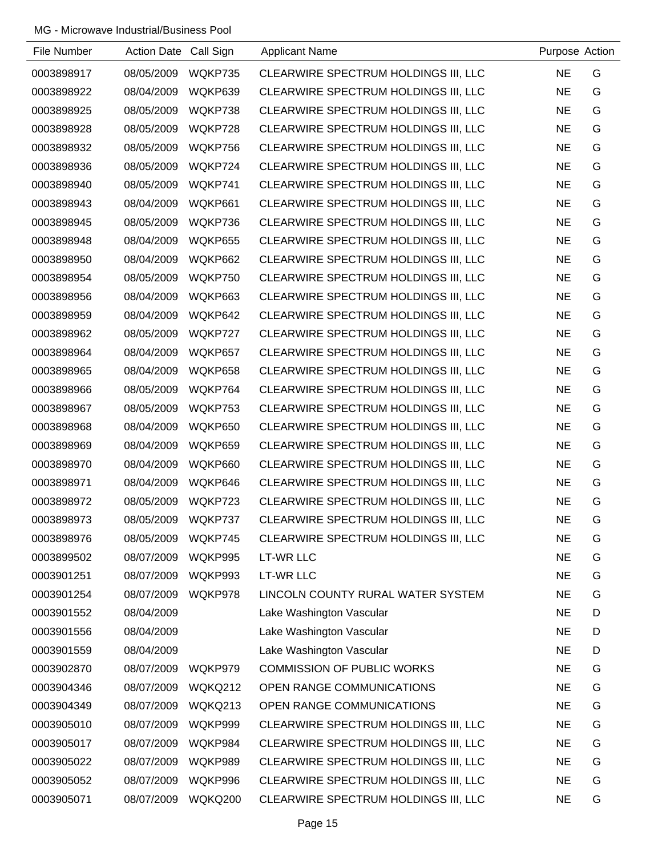| File Number | Action Date Call Sign |         | <b>Applicant Name</b>                | Purpose Action |   |
|-------------|-----------------------|---------|--------------------------------------|----------------|---|
| 0003898917  | 08/05/2009            | WQKP735 | CLEARWIRE SPECTRUM HOLDINGS III, LLC | <b>NE</b>      | G |
| 0003898922  | 08/04/2009            | WQKP639 | CLEARWIRE SPECTRUM HOLDINGS III, LLC | <b>NE</b>      | G |
| 0003898925  | 08/05/2009            | WQKP738 | CLEARWIRE SPECTRUM HOLDINGS III, LLC | <b>NE</b>      | G |
| 0003898928  | 08/05/2009            | WQKP728 | CLEARWIRE SPECTRUM HOLDINGS III, LLC | <b>NE</b>      | G |
| 0003898932  | 08/05/2009            | WQKP756 | CLEARWIRE SPECTRUM HOLDINGS III, LLC | <b>NE</b>      | G |
| 0003898936  | 08/05/2009            | WQKP724 | CLEARWIRE SPECTRUM HOLDINGS III, LLC | <b>NE</b>      | G |
| 0003898940  | 08/05/2009            | WQKP741 | CLEARWIRE SPECTRUM HOLDINGS III, LLC | <b>NE</b>      | G |
| 0003898943  | 08/04/2009            | WQKP661 | CLEARWIRE SPECTRUM HOLDINGS III, LLC | <b>NE</b>      | G |
| 0003898945  | 08/05/2009            | WQKP736 | CLEARWIRE SPECTRUM HOLDINGS III, LLC | <b>NE</b>      | G |
| 0003898948  | 08/04/2009            | WQKP655 | CLEARWIRE SPECTRUM HOLDINGS III, LLC | <b>NE</b>      | G |
| 0003898950  | 08/04/2009            | WQKP662 | CLEARWIRE SPECTRUM HOLDINGS III, LLC | <b>NE</b>      | G |
| 0003898954  | 08/05/2009            | WQKP750 | CLEARWIRE SPECTRUM HOLDINGS III, LLC | <b>NE</b>      | G |
| 0003898956  | 08/04/2009            | WQKP663 | CLEARWIRE SPECTRUM HOLDINGS III, LLC | <b>NE</b>      | G |
| 0003898959  | 08/04/2009            | WQKP642 | CLEARWIRE SPECTRUM HOLDINGS III, LLC | <b>NE</b>      | G |
| 0003898962  | 08/05/2009            | WQKP727 | CLEARWIRE SPECTRUM HOLDINGS III, LLC | <b>NE</b>      | G |
| 0003898964  | 08/04/2009            | WQKP657 | CLEARWIRE SPECTRUM HOLDINGS III, LLC | <b>NE</b>      | G |
| 0003898965  | 08/04/2009            | WQKP658 | CLEARWIRE SPECTRUM HOLDINGS III, LLC | <b>NE</b>      | G |
| 0003898966  | 08/05/2009            | WQKP764 | CLEARWIRE SPECTRUM HOLDINGS III, LLC | <b>NE</b>      | G |
| 0003898967  | 08/05/2009            | WQKP753 | CLEARWIRE SPECTRUM HOLDINGS III, LLC | <b>NE</b>      | G |
| 0003898968  | 08/04/2009            | WQKP650 | CLEARWIRE SPECTRUM HOLDINGS III, LLC | <b>NE</b>      | G |
| 0003898969  | 08/04/2009            | WQKP659 | CLEARWIRE SPECTRUM HOLDINGS III, LLC | <b>NE</b>      | G |
| 0003898970  | 08/04/2009            | WQKP660 | CLEARWIRE SPECTRUM HOLDINGS III, LLC | <b>NE</b>      | G |
| 0003898971  | 08/04/2009            | WQKP646 | CLEARWIRE SPECTRUM HOLDINGS III, LLC | <b>NE</b>      | G |
| 0003898972  | 08/05/2009            | WQKP723 | CLEARWIRE SPECTRUM HOLDINGS III, LLC | <b>NE</b>      | G |
| 0003898973  | 08/05/2009            | WQKP737 | CLEARWIRE SPECTRUM HOLDINGS III, LLC | <b>NE</b>      | G |
| 0003898976  | 08/05/2009            | WQKP745 | CLEARWIRE SPECTRUM HOLDINGS III, LLC | <b>NE</b>      | G |
| 0003899502  | 08/07/2009            | WQKP995 | <b>LT-WR LLC</b>                     | <b>NE</b>      | G |
| 0003901251  | 08/07/2009            | WQKP993 | LT-WR LLC                            | <b>NE</b>      | G |
| 0003901254  | 08/07/2009            | WQKP978 | LINCOLN COUNTY RURAL WATER SYSTEM    | <b>NE</b>      | G |
| 0003901552  | 08/04/2009            |         | Lake Washington Vascular             | <b>NE</b>      | D |
| 0003901556  | 08/04/2009            |         | Lake Washington Vascular             | <b>NE</b>      | D |
| 0003901559  | 08/04/2009            |         | Lake Washington Vascular             | <b>NE</b>      | D |
| 0003902870  | 08/07/2009            | WQKP979 | <b>COMMISSION OF PUBLIC WORKS</b>    | <b>NE</b>      | G |
| 0003904346  | 08/07/2009            | WQKQ212 | OPEN RANGE COMMUNICATIONS            | <b>NE</b>      | G |
| 0003904349  | 08/07/2009            | WQKQ213 | OPEN RANGE COMMUNICATIONS            | <b>NE</b>      | G |
| 0003905010  | 08/07/2009            | WQKP999 | CLEARWIRE SPECTRUM HOLDINGS III, LLC | <b>NE</b>      | G |
| 0003905017  | 08/07/2009            | WQKP984 | CLEARWIRE SPECTRUM HOLDINGS III, LLC | <b>NE</b>      | G |
| 0003905022  | 08/07/2009            | WQKP989 | CLEARWIRE SPECTRUM HOLDINGS III, LLC | <b>NE</b>      | G |
| 0003905052  | 08/07/2009            | WQKP996 | CLEARWIRE SPECTRUM HOLDINGS III, LLC | <b>NE</b>      | G |
| 0003905071  | 08/07/2009            | WQKQ200 | CLEARWIRE SPECTRUM HOLDINGS III, LLC | <b>NE</b>      | G |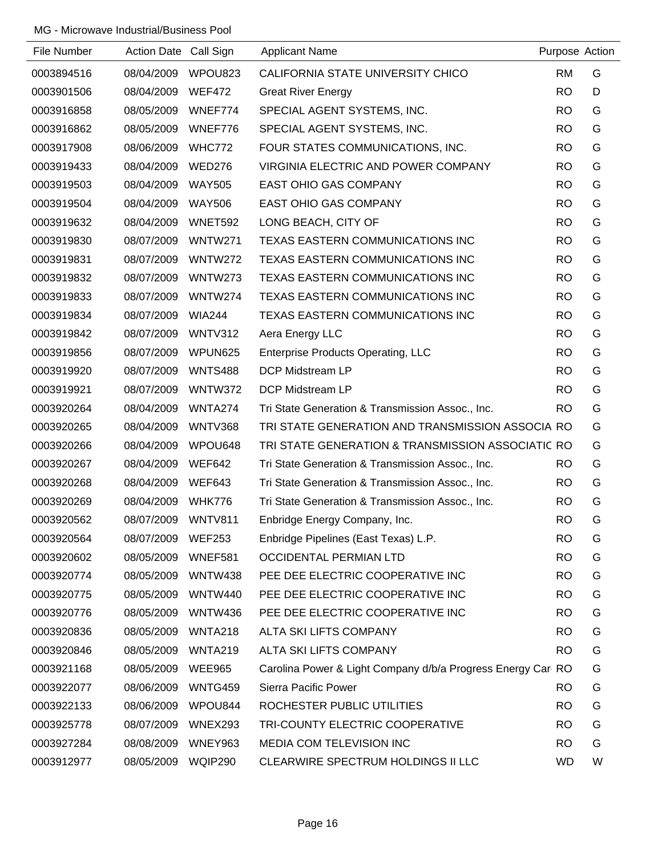| File Number | <b>Action Date</b> | Call Sign      | <b>Applicant Name</b>                                       | Purpose Action |   |
|-------------|--------------------|----------------|-------------------------------------------------------------|----------------|---|
| 0003894516  | 08/04/2009         | WPOU823        | CALIFORNIA STATE UNIVERSITY CHICO                           | <b>RM</b>      | G |
| 0003901506  | 08/04/2009         | <b>WEF472</b>  | <b>Great River Energy</b>                                   | <b>RO</b>      | D |
| 0003916858  | 08/05/2009         | WNEF774        | SPECIAL AGENT SYSTEMS, INC.                                 | <b>RO</b>      | G |
| 0003916862  | 08/05/2009         | WNEF776        | SPECIAL AGENT SYSTEMS, INC.                                 | <b>RO</b>      | G |
| 0003917908  | 08/06/2009         | <b>WHC772</b>  | FOUR STATES COMMUNICATIONS, INC.                            | <b>RO</b>      | G |
| 0003919433  | 08/04/2009         | <b>WED276</b>  | VIRGINIA ELECTRIC AND POWER COMPANY                         | <b>RO</b>      | G |
| 0003919503  | 08/04/2009         | <b>WAY505</b>  | <b>EAST OHIO GAS COMPANY</b>                                | <b>RO</b>      | G |
| 0003919504  | 08/04/2009         | <b>WAY506</b>  | <b>EAST OHIO GAS COMPANY</b>                                | <b>RO</b>      | G |
| 0003919632  | 08/04/2009         | WNET592        | LONG BEACH, CITY OF                                         | <b>RO</b>      | G |
| 0003919830  | 08/07/2009         | WNTW271        | TEXAS EASTERN COMMUNICATIONS INC                            | <b>RO</b>      | G |
| 0003919831  | 08/07/2009         | WNTW272        | TEXAS EASTERN COMMUNICATIONS INC                            | <b>RO</b>      | G |
| 0003919832  | 08/07/2009         | WNTW273        | <b>TEXAS EASTERN COMMUNICATIONS INC</b>                     | <b>RO</b>      | G |
| 0003919833  | 08/07/2009         | WNTW274        | <b>TEXAS EASTERN COMMUNICATIONS INC</b>                     | <b>RO</b>      | G |
| 0003919834  | 08/07/2009         | <b>WIA244</b>  | TEXAS EASTERN COMMUNICATIONS INC                            | <b>RO</b>      | G |
| 0003919842  | 08/07/2009         | WNTV312        | Aera Energy LLC                                             | <b>RO</b>      | G |
| 0003919856  | 08/07/2009         | WPUN625        | <b>Enterprise Products Operating, LLC</b>                   | <b>RO</b>      | G |
| 0003919920  | 08/07/2009         | <b>WNTS488</b> | DCP Midstream LP                                            | <b>RO</b>      | G |
| 0003919921  | 08/07/2009         | WNTW372        | <b>DCP Midstream LP</b>                                     | <b>RO</b>      | G |
| 0003920264  | 08/04/2009         | WNTA274        | Tri State Generation & Transmission Assoc., Inc.            | <b>RO</b>      | G |
| 0003920265  | 08/04/2009         | WNTV368        | TRI STATE GENERATION AND TRANSMISSION ASSOCIA RO            |                | G |
| 0003920266  | 08/04/2009         | WPOU648        | TRI STATE GENERATION & TRANSMISSION ASSOCIATIC RO           |                | G |
| 0003920267  | 08/04/2009         | <b>WEF642</b>  | Tri State Generation & Transmission Assoc., Inc.            | <b>RO</b>      | G |
| 0003920268  | 08/04/2009         | <b>WEF643</b>  | Tri State Generation & Transmission Assoc., Inc.            | <b>RO</b>      | G |
| 0003920269  | 08/04/2009         | <b>WHK776</b>  | Tri State Generation & Transmission Assoc., Inc.            | <b>RO</b>      | G |
| 0003920562  | 08/07/2009 WNTV811 |                | Enbridge Energy Company, Inc.                               | <b>RO</b>      | G |
| 0003920564  | 08/07/2009         | <b>WEF253</b>  | Enbridge Pipelines (East Texas) L.P.                        | <b>RO</b>      | G |
| 0003920602  | 08/05/2009         | WNEF581        | <b>OCCIDENTAL PERMIAN LTD</b>                               | <b>RO</b>      | G |
| 0003920774  | 08/05/2009         | <b>WNTW438</b> | PEE DEE ELECTRIC COOPERATIVE INC                            | <b>RO</b>      | G |
| 0003920775  | 08/05/2009         | WNTW440        | PEE DEE ELECTRIC COOPERATIVE INC                            | <b>RO</b>      | G |
| 0003920776  | 08/05/2009         | <b>WNTW436</b> | PEE DEE ELECTRIC COOPERATIVE INC                            | <b>RO</b>      | G |
| 0003920836  | 08/05/2009         | WNTA218        | ALTA SKI LIFTS COMPANY                                      | <b>RO</b>      | G |
| 0003920846  | 08/05/2009         | <b>WNTA219</b> | ALTA SKI LIFTS COMPANY                                      | <b>RO</b>      | G |
| 0003921168  | 08/05/2009         | <b>WEE965</b>  | Carolina Power & Light Company d/b/a Progress Energy Car RO |                | G |
| 0003922077  | 08/06/2009         | WNTG459        | Sierra Pacific Power                                        | <b>RO</b>      | G |
| 0003922133  | 08/06/2009         | WPOU844        | ROCHESTER PUBLIC UTILITIES                                  | <b>RO</b>      | G |
| 0003925778  | 08/07/2009         | WNEX293        | TRI-COUNTY ELECTRIC COOPERATIVE                             | <b>RO</b>      | G |
| 0003927284  | 08/08/2009         | WNEY963        | <b>MEDIA COM TELEVISION INC</b>                             | <b>RO</b>      | G |
| 0003912977  | 08/05/2009 WQIP290 |                | CLEARWIRE SPECTRUM HOLDINGS II LLC                          | <b>WD</b>      | W |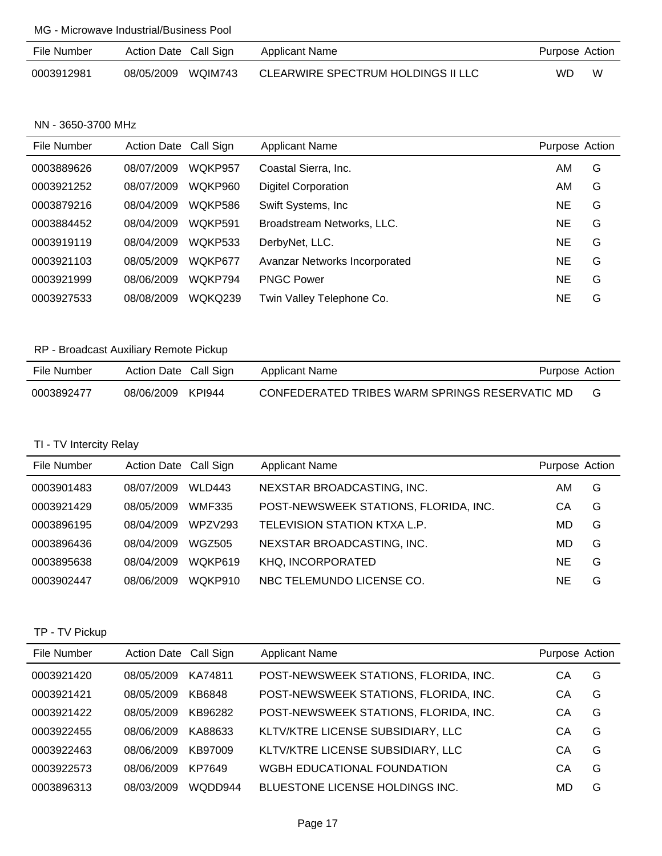| File Number | Action Date Call Sign | <b>Applicant Name</b>              | Purpose Action |   |
|-------------|-----------------------|------------------------------------|----------------|---|
| 0003912981  | 08/05/2009 WQIM743    | CLEARWIRE SPECTRUM HOLDINGS II LLC | WD.            | W |

NN - 3650-3700 MHz

| File Number | Action Date Call Sign |                | <b>Applicant Name</b>         | Purpose Action |   |
|-------------|-----------------------|----------------|-------------------------------|----------------|---|
| 0003889626  | 08/07/2009            | WOKP957        | Coastal Sierra, Inc.          | AM             | G |
| 0003921252  | 08/07/2009            | WOKP960        | <b>Digitel Corporation</b>    | AM             | G |
| 0003879216  | 08/04/2009            | WQKP586        | Swift Systems, Inc.           | NE             | G |
| 0003884452  | 08/04/2009            | WQKP591        | Broadstream Networks, LLC.    | NE             | G |
| 0003919119  | 08/04/2009            | WQKP533        | DerbyNet, LLC.                | NE             | G |
| 0003921103  | 08/05/2009            | WQKP677        | Avanzar Networks Incorporated | NE             | G |
| 0003921999  | 08/06/2009            | WQKP794        | <b>PNGC Power</b>             | NE             | G |
| 0003927533  | 08/08/2009            | <b>WOKQ239</b> | Twin Valley Telephone Co.     | NE             | G |

## RP - Broadcast Auxiliary Remote Pickup

| File Number | Action Date Call Sign | Purpose Action<br>Applicant Name               |  |
|-------------|-----------------------|------------------------------------------------|--|
| 0003892477  | 08/06/2009 KPI944     | CONFEDERATED TRIBES WARM SPRINGS RESERVATIC MD |  |

## TI - TV Intercity Relay

| File Number | Action Date Call Sign |               | <b>Applicant Name</b>                 | Purpose Action |   |
|-------------|-----------------------|---------------|---------------------------------------|----------------|---|
| 0003901483  | 08/07/2009            | WLD443        | NEXSTAR BROADCASTING, INC.            | AM             | G |
| 0003921429  | 08/05/2009            | <b>WMF335</b> | POST-NEWSWEEK STATIONS, FLORIDA, INC. | CА             | G |
| 0003896195  | 08/04/2009            | WPZV293       | TELEVISION STATION KTXA L.P.          | MD             | G |
| 0003896436  | 08/04/2009            | WGZ505        | NEXSTAR BROADCASTING, INC.            | MD             | G |
| 0003895638  | 08/04/2009            | WOKP619       | KHQ, INCORPORATED                     | <b>NE</b>      | G |
| 0003902447  | 08/06/2009            | WOKP910       | NBC TELEMUNDO LICENSE CO.             | NE             | G |

# TP - TV Pickup

| File Number | Action Date Call Sign |         | <b>Applicant Name</b>                 | Purpose Action |   |
|-------------|-----------------------|---------|---------------------------------------|----------------|---|
| 0003921420  | 08/05/2009            | KA74811 | POST-NEWSWEEK STATIONS, FLORIDA, INC. | CА             | G |
| 0003921421  | 08/05/2009            | KB6848  | POST-NEWSWEEK STATIONS, FLORIDA, INC. | CА             | G |
| 0003921422  | 08/05/2009            | KB96282 | POST-NEWSWEEK STATIONS, FLORIDA, INC. | CА             | G |
| 0003922455  | 08/06/2009            | KA88633 | KLTV/KTRE LICENSE SUBSIDIARY, LLC     | CA             | G |
| 0003922463  | 08/06/2009            | KB97009 | KLTV/KTRE LICENSE SUBSIDIARY, LLC     | CА             | G |
| 0003922573  | 08/06/2009            | KP7649  | WGBH EDUCATIONAL FOUNDATION           | CА             | G |
| 0003896313  | 08/03/2009            | WQDD944 | BLUESTONE LICENSE HOLDINGS INC.       | MD             | G |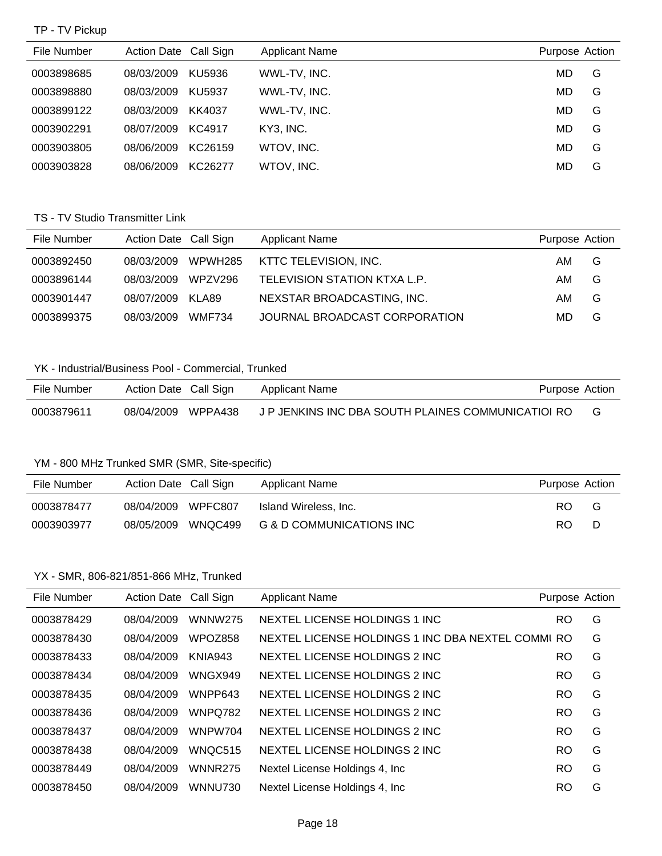#### TP - TV Pickup

| File Number | Action Date Call Sign |         | <b>Applicant Name</b> | Purpose Action |   |
|-------------|-----------------------|---------|-----------------------|----------------|---|
| 0003898685  | 08/03/2009            | KU5936  | WWL-TV, INC.          | MD             | G |
| 0003898880  | 08/03/2009            | KU5937  | WWL-TV, INC.          | MD.            | G |
| 0003899122  | 08/03/2009            | KK4037  | WWL-TV, INC.          | MD             | G |
| 0003902291  | 08/07/2009            | KC4917  | KY3, INC.             | MD.            | G |
| 0003903805  | 08/06/2009            | KC26159 | WTOV, INC.            | MD             | G |
| 0003903828  | 08/06/2009            | KC26277 | WTOV, INC.            | MD             | G |

### TS - TV Studio Transmitter Link

| File Number | Action Date Call Sign |               | <b>Applicant Name</b>         | Purpose Action |   |
|-------------|-----------------------|---------------|-------------------------------|----------------|---|
| 0003892450  | 08/03/2009            | WPWH285       | KTTC TELEVISION, INC.         | AM             | G |
| 0003896144  | 08/03/2009            | WPZV296       | TELEVISION STATION KTXA L.P.  | AM             | G |
| 0003901447  | 08/07/2009            | KLA89         | NEXSTAR BROADCASTING, INC.    | AM             | G |
| 0003899375  | 08/03/2009            | <b>WMF734</b> | JOURNAL BROADCAST CORPORATION | MD.            | G |

### YK - Industrial/Business Pool - Commercial, Trunked

| File Number | Action Date Call Sign | Applicant Name                                     | Purpose Action |   |
|-------------|-----------------------|----------------------------------------------------|----------------|---|
| 0003879611  | 08/04/2009 WPPA438    | J P JENKINS INC DBA SOUTH PLAINES COMMUNICATIOL RO |                | G |

#### YM - 800 MHz Trunked SMR (SMR, Site-specific)

| File Number | Action Date Call Sign |         | <b>Applicant Name</b>    | Purpose Action |   |
|-------------|-----------------------|---------|--------------------------|----------------|---|
| 0003878477  | 08/04/2009            | WPFC807 | Island Wireless. Inc.    | RO.            | G |
| 0003903977  | 08/05/2009            | WNQC499 | G & D COMMUNICATIONS INC | RO.            | D |

#### YX - SMR, 806-821/851-866 MHz, Trunked

| File Number | <b>Action Date</b> | Call Sign      | <b>Applicant Name</b>                            | Purpose Action |   |
|-------------|--------------------|----------------|--------------------------------------------------|----------------|---|
| 0003878429  | 08/04/2009         | <b>WNNW275</b> | NEXTEL LICENSE HOLDINGS 1 INC.                   | RO             | G |
| 0003878430  | 08/04/2009         | WPOZ858        | NEXTEL LICENSE HOLDINGS 1 INC DBA NEXTEL COMMURO |                | G |
| 0003878433  | 08/04/2009         | <b>KNIA943</b> | NEXTEL LICENSE HOLDINGS 2 INC.                   | RO             | G |
| 0003878434  | 08/04/2009         | WNGX949        | NEXTEL LICENSE HOLDINGS 2 INC.                   | RO             | G |
| 0003878435  | 08/04/2009         | WNPP643        | NEXTEL LICENSE HOLDINGS 2 INC.                   | RO             | G |
| 0003878436  | 08/04/2009         | <b>WNPQ782</b> | NEXTEL LICENSE HOLDINGS 2 INC.                   | RO             | G |
| 0003878437  | 08/04/2009         | WNPW704        | NEXTEL LICENSE HOLDINGS 2 INC.                   | RO             | G |
| 0003878438  | 08/04/2009         | WNQC515        | NEXTEL LICENSE HOLDINGS 2 INC                    | RO             | G |
| 0003878449  | 08/04/2009         | <b>WNNR275</b> | Nextel License Holdings 4, Inc.                  | RO             | G |
| 0003878450  | 08/04/2009         | <b>WNNU730</b> | Nextel License Holdings 4, Inc.                  | RO             | G |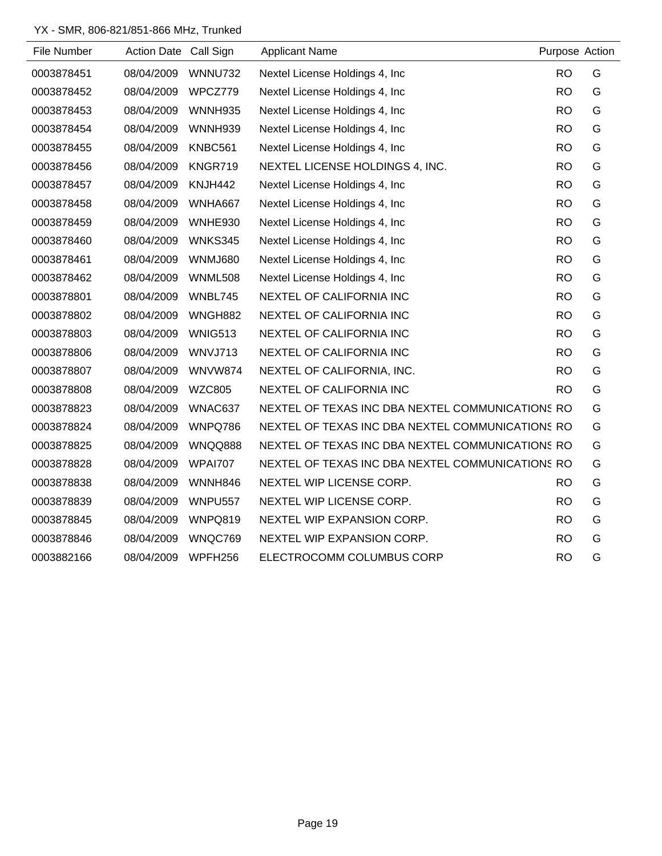## YX - SMR, 806-821/851-866 MHz, Trunked

| File Number | Action Date Call Sign |                | <b>Applicant Name</b>                            | Purpose Action |   |
|-------------|-----------------------|----------------|--------------------------------------------------|----------------|---|
| 0003878451  | 08/04/2009            | <b>WNNU732</b> | Nextel License Holdings 4, Inc                   | <b>RO</b>      | G |
| 0003878452  | 08/04/2009            | WPCZ779        | Nextel License Holdings 4, Inc.                  | <b>RO</b>      | G |
| 0003878453  | 08/04/2009            | <b>WNNH935</b> | Nextel License Holdings 4, Inc                   | <b>RO</b>      | G |
| 0003878454  | 08/04/2009            | WNNH939        | Nextel License Holdings 4, Inc.                  | <b>RO</b>      | G |
| 0003878455  | 08/04/2009            | KNBC561        | Nextel License Holdings 4, Inc.                  | RO.            | G |
| 0003878456  | 08/04/2009            | KNGR719        | NEXTEL LICENSE HOLDINGS 4, INC.                  | <b>RO</b>      | G |
| 0003878457  | 08/04/2009            | KNJH442        | Nextel License Holdings 4, Inc.                  | <b>RO</b>      | G |
| 0003878458  | 08/04/2009            | WNHA667        | Nextel License Holdings 4, Inc.                  | <b>RO</b>      | G |
| 0003878459  | 08/04/2009            | WNHE930        | Nextel License Holdings 4, Inc                   | <b>RO</b>      | G |
| 0003878460  | 08/04/2009            | WNKS345        | Nextel License Holdings 4, Inc.                  | <b>RO</b>      | G |
| 0003878461  | 08/04/2009            | WNMJ680        | Nextel License Holdings 4, Inc                   | <b>RO</b>      | G |
| 0003878462  | 08/04/2009            | <b>WNML508</b> | Nextel License Holdings 4, Inc.                  | <b>RO</b>      | G |
| 0003878801  | 08/04/2009            | WNBL745        | NEXTEL OF CALIFORNIA INC                         | <b>RO</b>      | G |
| 0003878802  | 08/04/2009            | WNGH882        | NEXTEL OF CALIFORNIA INC                         | <b>RO</b>      | G |
| 0003878803  | 08/04/2009            | WNIG513        | NEXTEL OF CALIFORNIA INC                         | <b>RO</b>      | G |
| 0003878806  | 08/04/2009            | WNVJ713        | NEXTEL OF CALIFORNIA INC                         | <b>RO</b>      | G |
| 0003878807  | 08/04/2009            | <b>WNVW874</b> | NEXTEL OF CALIFORNIA, INC.                       | <b>RO</b>      | G |
| 0003878808  | 08/04/2009            | <b>WZC805</b>  | NEXTEL OF CALIFORNIA INC                         | <b>RO</b>      | G |
| 0003878823  | 08/04/2009            | WNAC637        | NEXTEL OF TEXAS INC DBA NEXTEL COMMUNICATIONS RO |                | G |
| 0003878824  | 08/04/2009            | WNPQ786        | NEXTEL OF TEXAS INC DBA NEXTEL COMMUNICATIONS RO |                | G |
| 0003878825  | 08/04/2009            | WNQQ888        | NEXTEL OF TEXAS INC DBA NEXTEL COMMUNICATIONS RO |                | G |
| 0003878828  | 08/04/2009            | <b>WPAI707</b> | NEXTEL OF TEXAS INC DBA NEXTEL COMMUNICATIONS RO |                | G |
| 0003878838  | 08/04/2009            | WNNH846        | NEXTEL WIP LICENSE CORP.                         | <b>RO</b>      | G |
| 0003878839  | 08/04/2009            | <b>WNPU557</b> | NEXTEL WIP LICENSE CORP.                         | <b>RO</b>      | G |
| 0003878845  | 08/04/2009            | WNPQ819        | NEXTEL WIP EXPANSION CORP.                       | RO.            | G |
| 0003878846  | 08/04/2009            | WNQC769        | NEXTEL WIP EXPANSION CORP.                       | <b>RO</b>      | G |
| 0003882166  | 08/04/2009            | WPFH256        | ELECTROCOMM COLUMBUS CORP                        | <b>RO</b>      | G |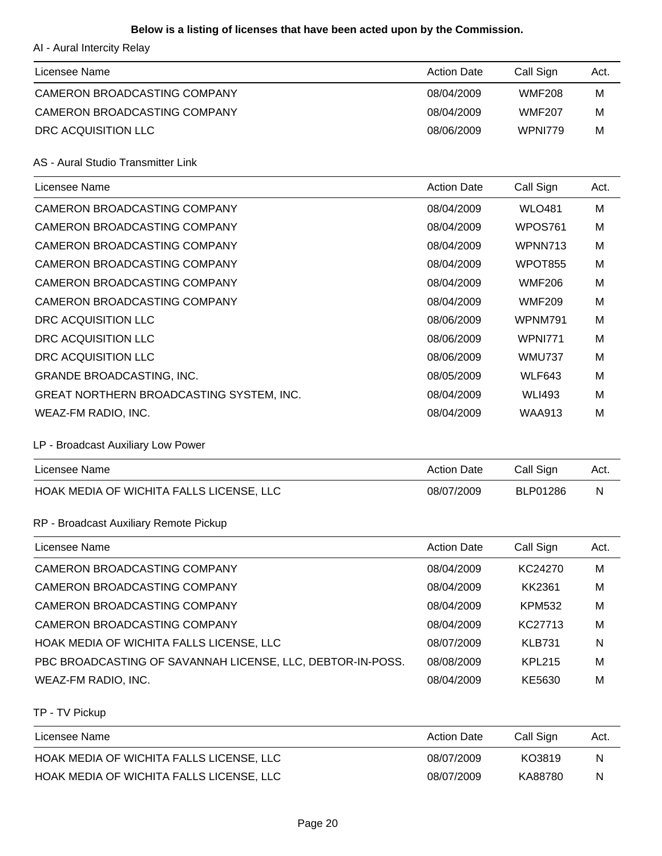### **Below is a listing of licenses that have been acted upon by the Commission.**

AI - Aural Intercity Relay

| Licensee Name                | <b>Action Date</b> | Call Sign     | Act. |
|------------------------------|--------------------|---------------|------|
| CAMERON BROADCASTING COMPANY | 08/04/2009         | <b>WMF208</b> | м    |
| CAMERON BROADCASTING COMPANY | 08/04/2009         | <b>WMF207</b> | м    |
| DRC ACQUISITION LLC          | 08/06/2009         | WPNI779       | M    |
|                              |                    |               |      |

AS - Aural Studio Transmitter Link

| Licensee Name                            | <b>Action Date</b> | Call Sign      | Act. |
|------------------------------------------|--------------------|----------------|------|
| CAMERON BROADCASTING COMPANY             | 08/04/2009         | <b>WLO481</b>  | M    |
| CAMERON BROADCASTING COMPANY             | 08/04/2009         | WPOS761        | M    |
| CAMERON BROADCASTING COMPANY             | 08/04/2009         | WPNN713        | M    |
| CAMERON BROADCASTING COMPANY             | 08/04/2009         | <b>WPOT855</b> | M    |
| CAMERON BROADCASTING COMPANY             | 08/04/2009         | <b>WMF206</b>  | M    |
| CAMERON BROADCASTING COMPANY             | 08/04/2009         | <b>WMF209</b>  | M    |
| DRC ACQUISITION LLC                      | 08/06/2009         | WPNM791        | M    |
| DRC ACQUISITION LLC                      | 08/06/2009         | <b>WPNI771</b> | M    |
| DRC ACQUISITION LLC                      | 08/06/2009         | <b>WMU737</b>  | M    |
| <b>GRANDE BROADCASTING, INC.</b>         | 08/05/2009         | <b>WLF643</b>  | M    |
| GREAT NORTHERN BROADCASTING SYSTEM, INC. | 08/04/2009         | <b>WLI493</b>  | M    |
| WEAZ-FM RADIO, INC.                      | 08/04/2009         | <b>WAA913</b>  | M    |

#### LP - Broadcast Auxiliary Low Power

| Licensee Name                            | <b>Action Date</b> | Call Sign | Act. |
|------------------------------------------|--------------------|-----------|------|
| HOAK MEDIA OF WICHITA FALLS LICENSE, LLC | 08/07/2009         | BLP01286  | N    |

### RP - Broadcast Auxiliary Remote Pickup

| Licensee Name                                              | <b>Action Date</b> | Call Sign     | Act. |
|------------------------------------------------------------|--------------------|---------------|------|
| CAMERON BROADCASTING COMPANY                               | 08/04/2009         | KC24270       | M    |
| CAMERON BROADCASTING COMPANY                               | 08/04/2009         | KK2361        | M    |
| CAMERON BROADCASTING COMPANY                               | 08/04/2009         | <b>KPM532</b> | M    |
| CAMERON BROADCASTING COMPANY                               | 08/04/2009         | KC27713       | M    |
| HOAK MEDIA OF WICHITA FALLS LICENSE, LLC                   | 08/07/2009         | <b>KLB731</b> | N    |
| PBC BROADCASTING OF SAVANNAH LICENSE, LLC, DEBTOR-IN-POSS. | 08/08/2009         | <b>KPL215</b> | M    |
| WEAZ-FM RADIO, INC.                                        | 08/04/2009         | KE5630        | м    |

TP - TV Pickup

| Licensee Name                            | <b>Action Date</b> | Call Sign | Act. |
|------------------------------------------|--------------------|-----------|------|
| HOAK MEDIA OF WICHITA FALLS LICENSE, LLC | 08/07/2009         | KO3819    | N    |
| HOAK MEDIA OF WICHITA FALLS LICENSE, LLC | 08/07/2009         | KA88780   | N    |